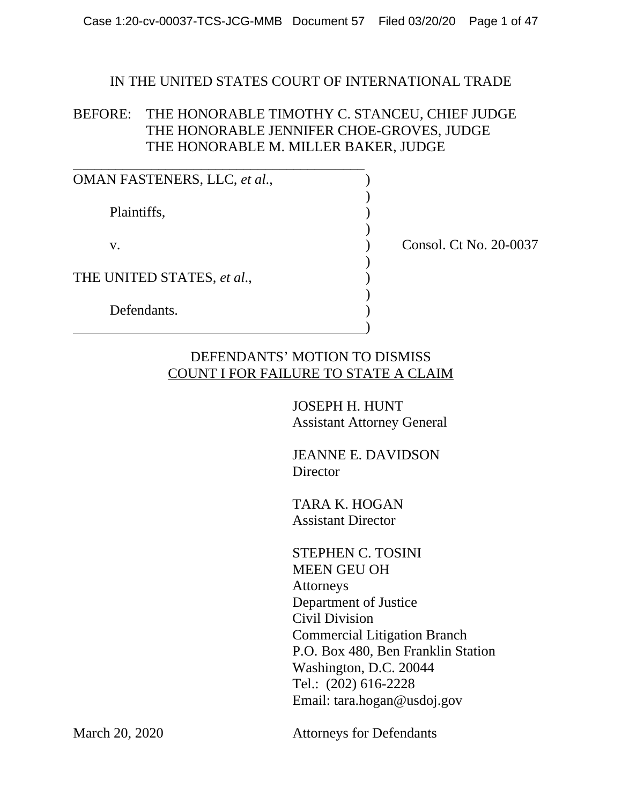#### IN THE UNITED STATES COURT OF INTERNATIONAL TRADE

## BEFORE: THE HONORABLE TIMOTHY C. STANCEU, CHIEF JUDGE THE HONORABLE JENNIFER CHOE-GROVES, JUDGE THE HONORABLE M. MILLER BAKER, JUDGE

| OMAN FASTENERS, LLC, et al., |                        |
|------------------------------|------------------------|
| Plaintiffs,                  |                        |
| V.                           | Consol. Ct No. 20-0037 |
| THE UNITED STATES, et al.,   |                        |
| Defendants.                  |                        |

# DEFENDANTS' MOTION TO DISMISS COUNT I FOR FAILURE TO STATE A CLAIM

 JOSEPH H. HUNT Assistant Attorney General

 JEANNE E. DAVIDSON **Director** 

 TARA K. HOGAN Assistant Director

 STEPHEN C. TOSINI MEEN GEU OH Attorneys Department of Justice Civil Division Commercial Litigation Branch P.O. Box 480, Ben Franklin Station Washington, D.C. 20044 Tel.: (202) 616-2228 Email: tara.hogan@usdoj.gov

March 20, 2020 Attorneys for Defendants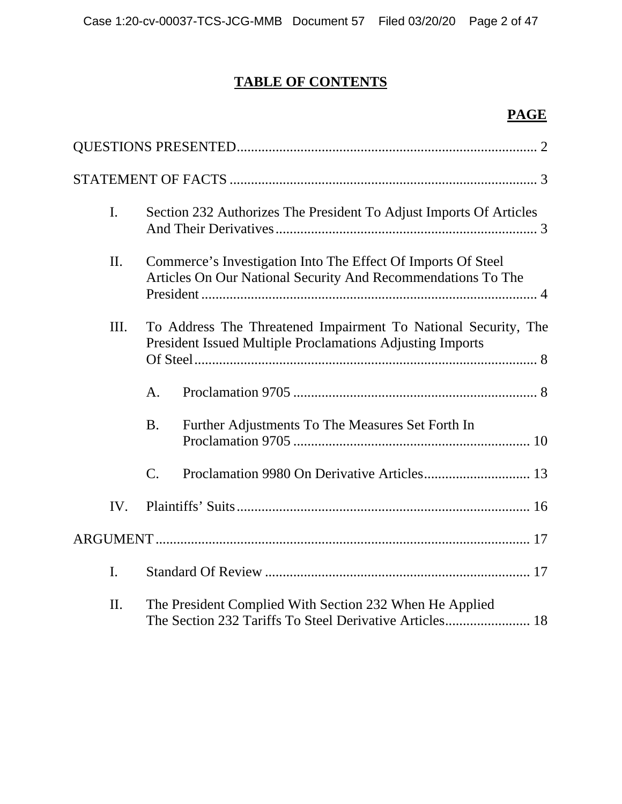# **TABLE OF CONTENTS**

# **PAGE**

| $\mathbf{I}$ . | Section 232 Authorizes The President To Adjust Imports Of Articles                                                                 |  |
|----------------|------------------------------------------------------------------------------------------------------------------------------------|--|
| II.            | Commerce's Investigation Into The Effect Of Imports Of Steel<br>Articles On Our National Security And Recommendations To The       |  |
| Ш.             | To Address The Threatened Impairment To National Security, The<br><b>President Issued Multiple Proclamations Adjusting Imports</b> |  |
|                | A.                                                                                                                                 |  |
|                | Further Adjustments To The Measures Set Forth In<br><b>B.</b>                                                                      |  |
|                | $\mathcal{C}$ .                                                                                                                    |  |
| IV.            |                                                                                                                                    |  |
|                |                                                                                                                                    |  |
| I.             |                                                                                                                                    |  |
| II.            | The President Complied With Section 232 When He Applied<br>The Section 232 Tariffs To Steel Derivative Articles 18                 |  |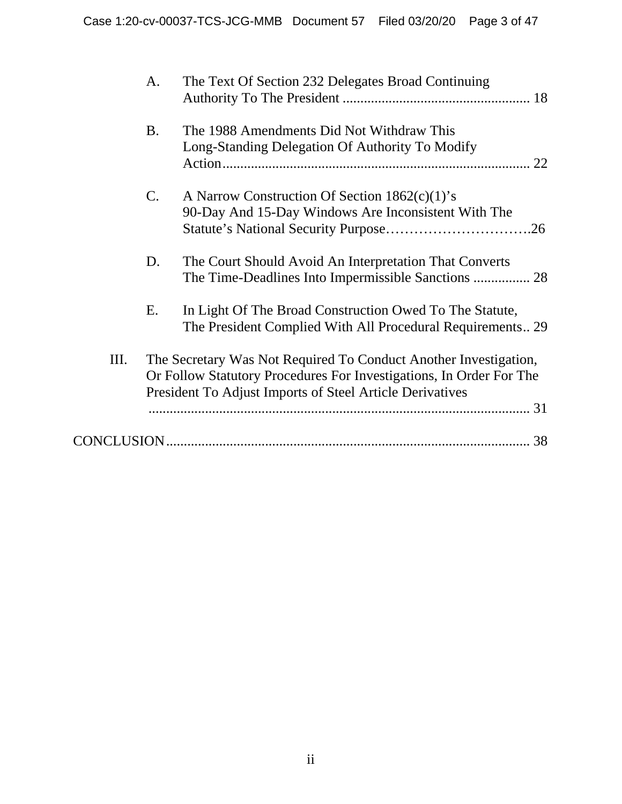|    | A.             | The Text Of Section 232 Delegates Broad Continuing                                                                                                                                                  |
|----|----------------|-----------------------------------------------------------------------------------------------------------------------------------------------------------------------------------------------------|
|    | <b>B.</b>      | The 1988 Amendments Did Not Withdraw This<br>Long-Standing Delegation Of Authority To Modify<br>22                                                                                                  |
|    | $\mathbf{C}$ . | A Narrow Construction Of Section 1862(c)(1)'s<br>90-Day And 15-Day Windows Are Inconsistent With The                                                                                                |
|    | D.             | The Court Should Avoid An Interpretation That Converts                                                                                                                                              |
|    | Ε.             | In Light Of The Broad Construction Owed To The Statute,<br>The President Complied With All Procedural Requirements29                                                                                |
| Ш. |                | The Secretary Was Not Required To Conduct Another Investigation,<br>Or Follow Statutory Procedures For Investigations, In Order For The<br>President To Adjust Imports of Steel Article Derivatives |
|    |                | 38                                                                                                                                                                                                  |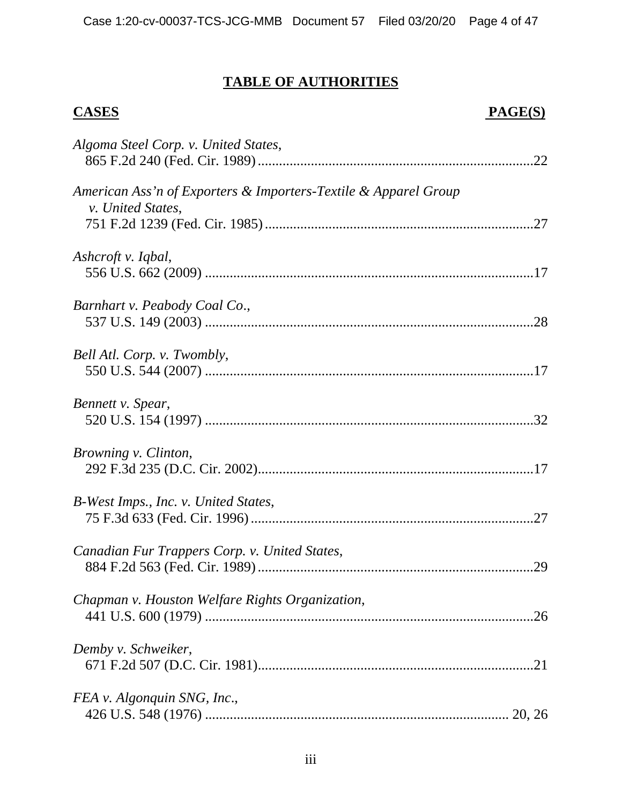# **TABLE OF AUTHORITIES**

# **CASES PAGE(S)**

| Algoma Steel Corp. v. United States,                                                        |
|---------------------------------------------------------------------------------------------|
| American Ass'n of Exporters & Importers-Textile & Apparel Group<br><i>v. United States,</i> |
| Ashcroft v. Iqbal,                                                                          |
| Barnhart v. Peabody Coal Co.,                                                               |
| Bell Atl. Corp. v. Twombly,                                                                 |
| Bennett v. Spear,                                                                           |
| Browning v. Clinton,                                                                        |
| B-West Imps., Inc. v. United States,                                                        |
| Canadian Fur Trappers Corp. v. United States,<br>.29                                        |
| Chapman v. Houston Welfare Rights Organization,                                             |
| Demby v. Schweiker,                                                                         |
| FEA v. Algonquin SNG, Inc.,                                                                 |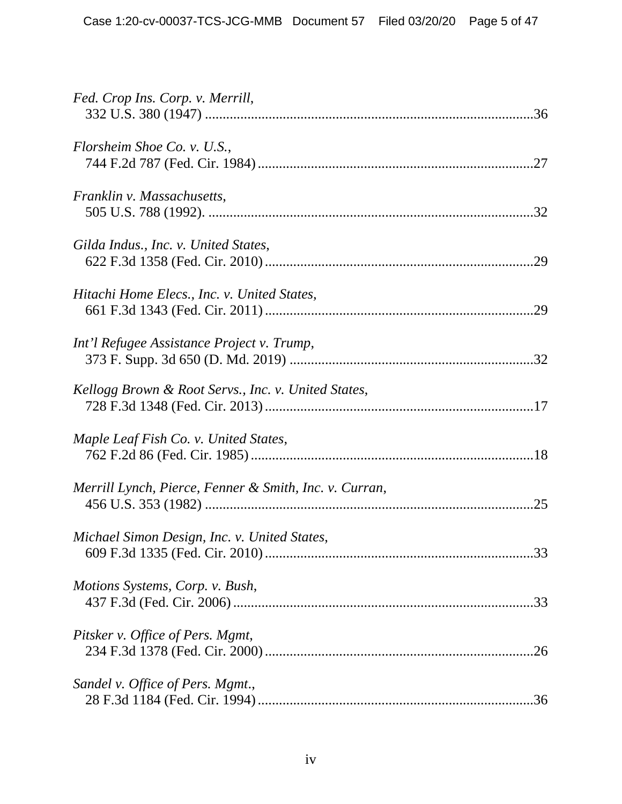| Fed. Crop Ins. Corp. v. Merrill,                              |
|---------------------------------------------------------------|
| Florsheim Shoe Co. v. U.S.,                                   |
| Franklin v. Massachusetts,                                    |
| Gilda Indus., Inc. v. United States,                          |
| Hitachi Home Elecs., Inc. v. United States,                   |
| Int'l Refugee Assistance Project v. Trump,                    |
| Kellogg Brown & Root Servs., Inc. v. United States,           |
| Maple Leaf Fish Co. v. United States,                         |
| Merrill Lynch, Pierce, Fenner & Smith, Inc. v. Curran,<br>.25 |
| Michael Simon Design, Inc. v. United States,                  |
| Motions Systems, Corp. v. Bush,                               |
| Pitsker v. Office of Pers. Mgmt,                              |
| Sandel v. Office of Pers. Mgmt.,                              |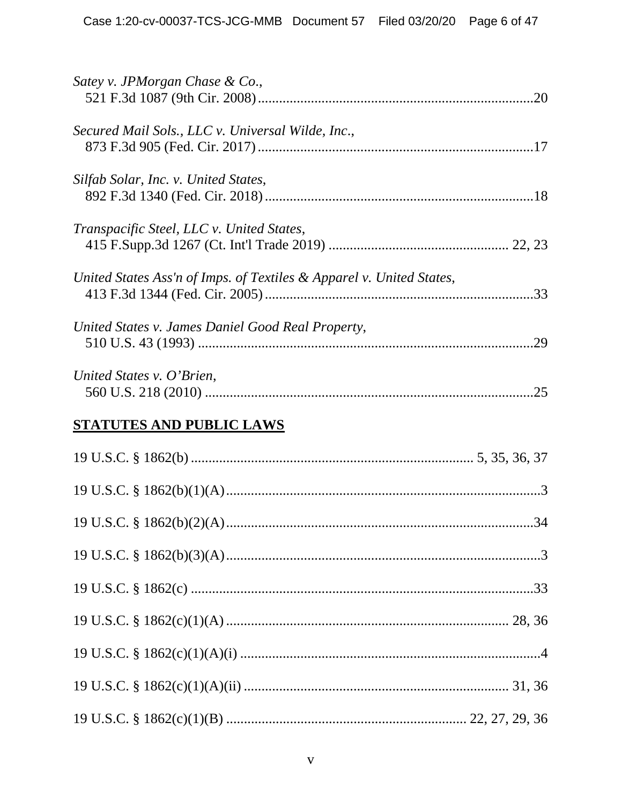| Satey v. JPMorgan Chase & Co.,                                       |
|----------------------------------------------------------------------|
| Secured Mail Sols., LLC v. Universal Wilde, Inc.,                    |
| Silfab Solar, Inc. v. United States,                                 |
| Transpacific Steel, LLC v. United States,                            |
| United States Ass'n of Imps. of Textiles & Apparel v. United States, |
| United States v. James Daniel Good Real Property,<br>.29             |
| United States v. O'Brien,                                            |
| <b>STATUTES AND PUBLIC LAWS</b>                                      |
|                                                                      |
|                                                                      |
|                                                                      |
|                                                                      |
|                                                                      |
|                                                                      |
|                                                                      |
|                                                                      |
|                                                                      |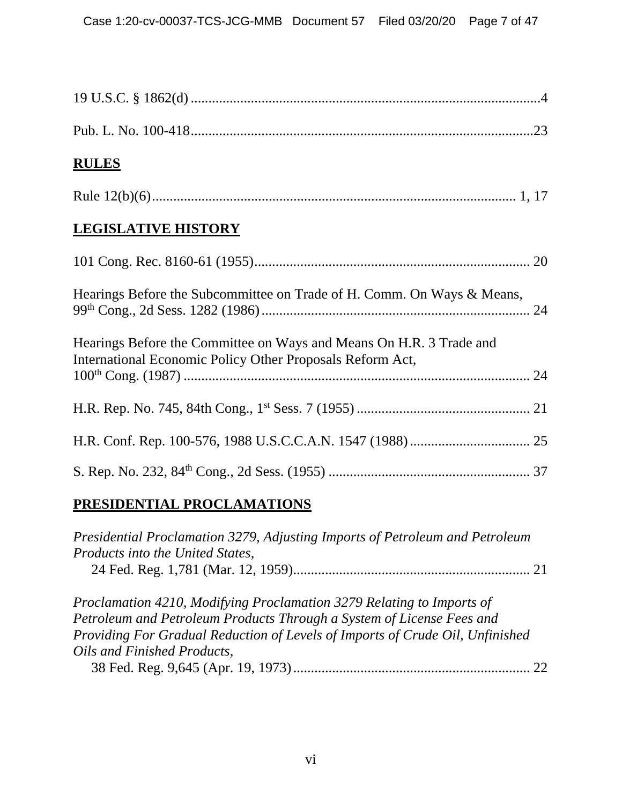| <b>RULES</b>                                                                                                                     |  |
|----------------------------------------------------------------------------------------------------------------------------------|--|
|                                                                                                                                  |  |
| <b>LEGISLATIVE HISTORY</b>                                                                                                       |  |
|                                                                                                                                  |  |
| Hearings Before the Subcommittee on Trade of H. Comm. On Ways & Means,                                                           |  |
| Hearings Before the Committee on Ways and Means On H.R. 3 Trade and<br>International Economic Policy Other Proposals Reform Act, |  |
|                                                                                                                                  |  |
|                                                                                                                                  |  |
|                                                                                                                                  |  |
|                                                                                                                                  |  |

# **PRESIDENTIAL PROCLAMATIONS**

| Presidential Proclamation 3279, Adjusting Imports of Petroleum and Petroleum  |  |  |
|-------------------------------------------------------------------------------|--|--|
| Products into the United States,                                              |  |  |
|                                                                               |  |  |
| Proclamation 4210, Modifying Proclamation 3279 Relating to Imports of         |  |  |
| Petroleum and Petroleum Products Through a System of License Fees and         |  |  |
| Providing For Gradual Reduction of Levels of Imports of Crude Oil, Unfinished |  |  |
| Oils and Finished Products,                                                   |  |  |
|                                                                               |  |  |

38 Fed. Reg. 9,645 (Apr. 19, 1973) ................................................................... 22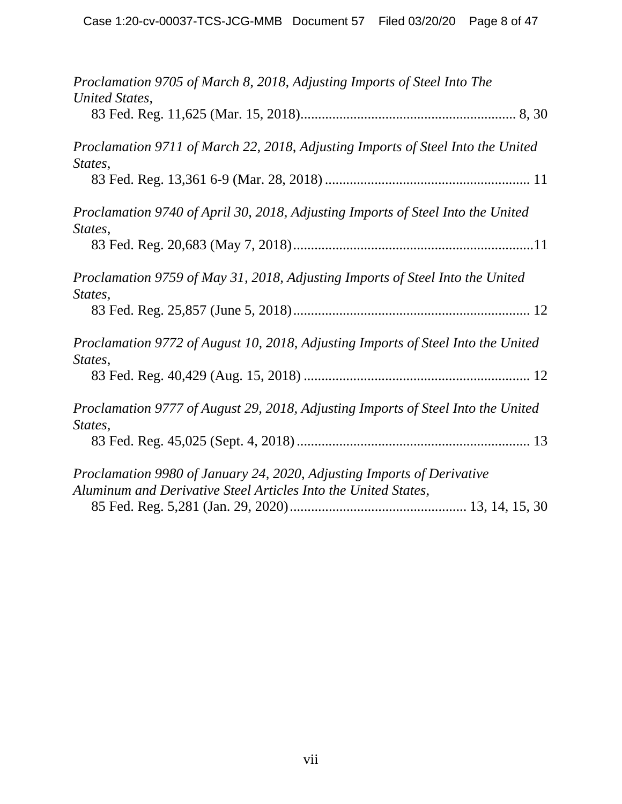| Proclamation 9705 of March 8, 2018, Adjusting Imports of Steel Into The                     |
|---------------------------------------------------------------------------------------------|
| United States,                                                                              |
| Proclamation 9711 of March 22, 2018, Adjusting Imports of Steel Into the United<br>States,  |
|                                                                                             |
| Proclamation 9740 of April 30, 2018, Adjusting Imports of Steel Into the United<br>States,  |
|                                                                                             |
| Proclamation 9759 of May 31, 2018, Adjusting Imports of Steel Into the United<br>States,    |
|                                                                                             |
| Proclamation 9772 of August 10, 2018, Adjusting Imports of Steel Into the United<br>States, |
|                                                                                             |
| Proclamation 9777 of August 29, 2018, Adjusting Imports of Steel Into the United            |
| States,                                                                                     |
| Proclamation 9980 of January 24, 2020, Adjusting Imports of Derivative                      |
| Aluminum and Derivative Steel Articles Into the United States,                              |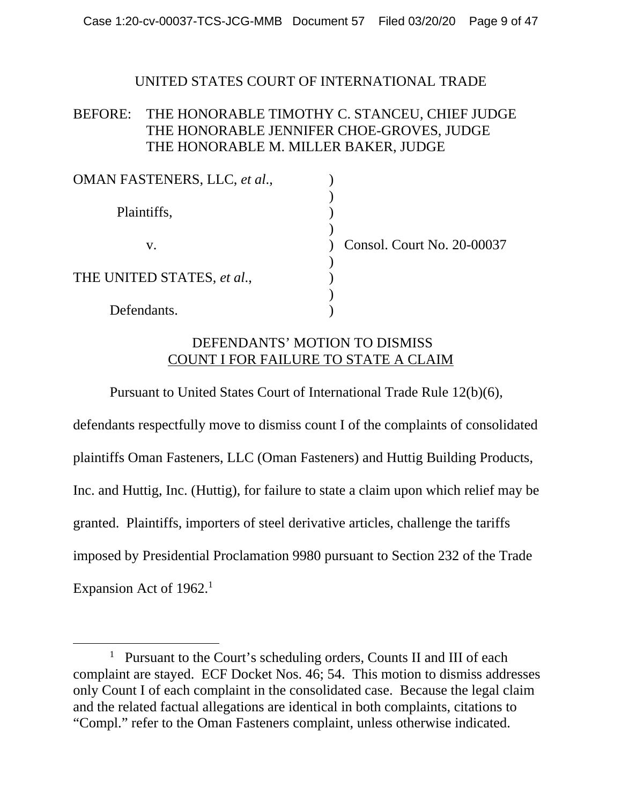#### UNITED STATES COURT OF INTERNATIONAL TRADE

## BEFORE: THE HONORABLE TIMOTHY C. STANCEU, CHIEF JUDGE THE HONORABLE JENNIFER CHOE-GROVES, JUDGE THE HONORABLE M. MILLER BAKER, JUDGE

| OMAN FASTENERS, LLC, et al., |                            |
|------------------------------|----------------------------|
| Plaintiffs,                  |                            |
| V.                           | Consol. Court No. 20-00037 |
| THE UNITED STATES, et al.,   |                            |
| Defendants.                  |                            |

#### DEFENDANTS' MOTION TO DISMISS COUNT I FOR FAILURE TO STATE A CLAIM

Pursuant to United States Court of International Trade Rule 12(b)(6),

defendants respectfully move to dismiss count I of the complaints of consolidated plaintiffs Oman Fasteners, LLC (Oman Fasteners) and Huttig Building Products, Inc. and Huttig, Inc. (Huttig), for failure to state a claim upon which relief may be granted. Plaintiffs, importers of steel derivative articles, challenge the tariffs imposed by Presidential Proclamation 9980 pursuant to Section 232 of the Trade Expansion Act of 1962.<sup>1</sup>

<sup>&</sup>lt;u>1</u> <sup>1</sup> Pursuant to the Court's scheduling orders, Counts II and III of each complaint are stayed. ECF Docket Nos. 46; 54. This motion to dismiss addresses only Count I of each complaint in the consolidated case. Because the legal claim and the related factual allegations are identical in both complaints, citations to "Compl." refer to the Oman Fasteners complaint, unless otherwise indicated.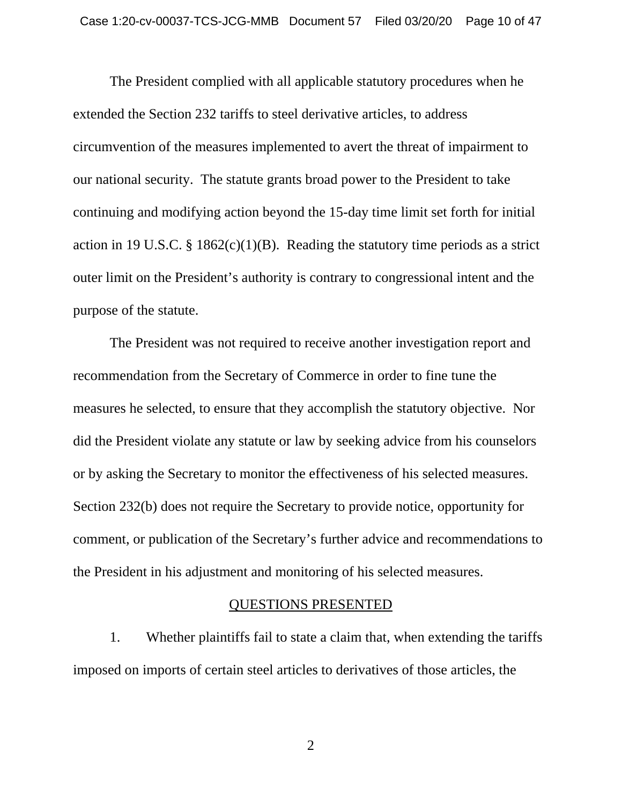The President complied with all applicable statutory procedures when he extended the Section 232 tariffs to steel derivative articles, to address circumvention of the measures implemented to avert the threat of impairment to our national security. The statute grants broad power to the President to take continuing and modifying action beyond the 15-day time limit set forth for initial action in 19 U.S.C. § 1862(c)(1)(B). Reading the statutory time periods as a strict outer limit on the President's authority is contrary to congressional intent and the purpose of the statute.

The President was not required to receive another investigation report and recommendation from the Secretary of Commerce in order to fine tune the measures he selected, to ensure that they accomplish the statutory objective. Nor did the President violate any statute or law by seeking advice from his counselors or by asking the Secretary to monitor the effectiveness of his selected measures. Section 232(b) does not require the Secretary to provide notice, opportunity for comment, or publication of the Secretary's further advice and recommendations to the President in his adjustment and monitoring of his selected measures.

#### QUESTIONS PRESENTED

1. Whether plaintiffs fail to state a claim that, when extending the tariffs imposed on imports of certain steel articles to derivatives of those articles, the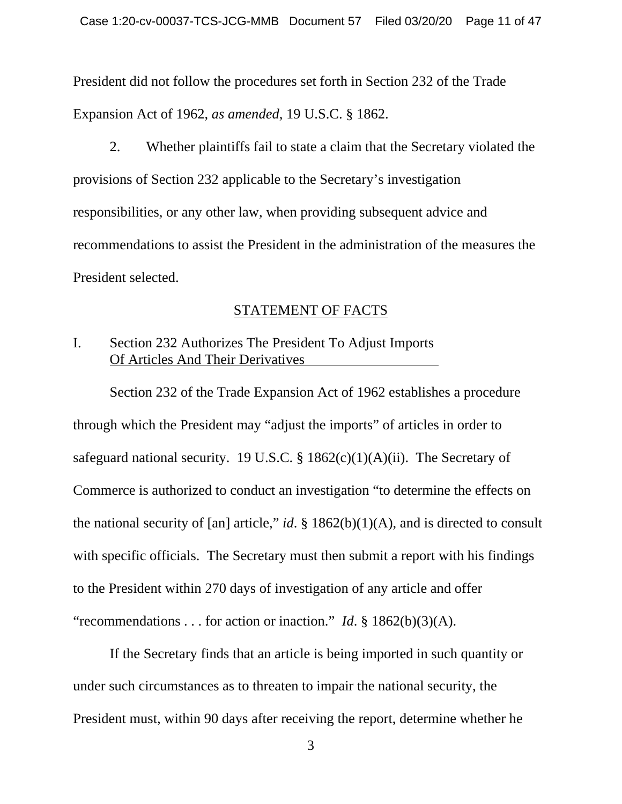President did not follow the procedures set forth in Section 232 of the Trade Expansion Act of 1962, *as amended*, 19 U.S.C. § 1862.

2. Whether plaintiffs fail to state a claim that the Secretary violated the provisions of Section 232 applicable to the Secretary's investigation responsibilities, or any other law, when providing subsequent advice and recommendations to assist the President in the administration of the measures the President selected.

#### STATEMENT OF FACTS

## I. Section 232 Authorizes The President To Adjust Imports Of Articles And Their Derivatives

 Section 232 of the Trade Expansion Act of 1962 establishes a procedure through which the President may "adjust the imports" of articles in order to safeguard national security. 19 U.S.C. §  $1862(c)(1)(A)(ii)$ . The Secretary of Commerce is authorized to conduct an investigation "to determine the effects on the national security of [an] article," *id*. §  $1862(b)(1)(A)$ , and is directed to consult with specific officials. The Secretary must then submit a report with his findings to the President within 270 days of investigation of any article and offer "recommendations . . . for action or inaction." *Id*. § 1862(b)(3)(A).

 If the Secretary finds that an article is being imported in such quantity or under such circumstances as to threaten to impair the national security, the President must, within 90 days after receiving the report, determine whether he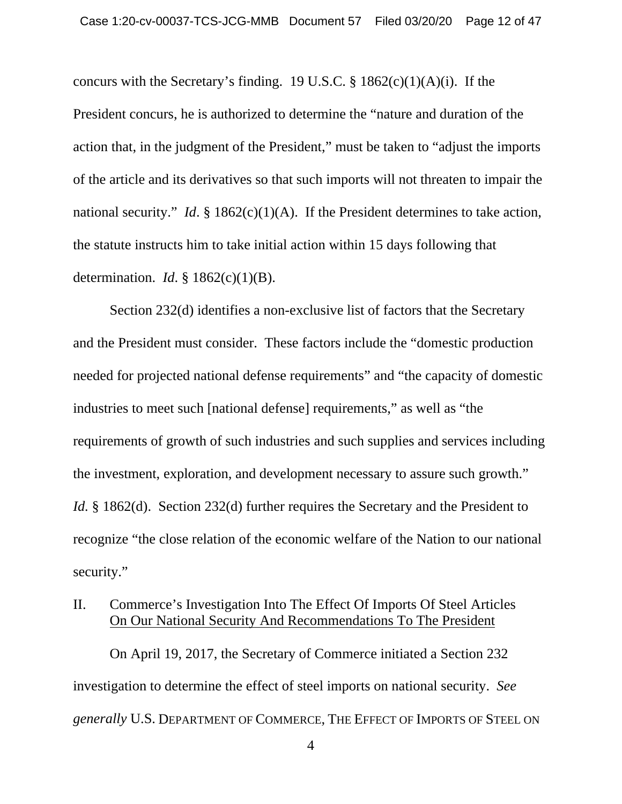concurs with the Secretary's finding. 19 U.S.C.  $\S$  1862(c)(1)(A)(i). If the President concurs, he is authorized to determine the "nature and duration of the action that, in the judgment of the President," must be taken to "adjust the imports of the article and its derivatives so that such imports will not threaten to impair the national security." *Id.* § 1862(c)(1)(A). If the President determines to take action, the statute instructs him to take initial action within 15 days following that determination. *Id*. § 1862(c)(1)(B).

 Section 232(d) identifies a non-exclusive list of factors that the Secretary and the President must consider. These factors include the "domestic production needed for projected national defense requirements" and "the capacity of domestic industries to meet such [national defense] requirements," as well as "the requirements of growth of such industries and such supplies and services including the investment, exploration, and development necessary to assure such growth." *Id.* § 1862(d). Section 232(d) further requires the Secretary and the President to recognize "the close relation of the economic welfare of the Nation to our national security."

# II. Commerce's Investigation Into The Effect Of Imports Of Steel Articles On Our National Security And Recommendations To The President

On April 19, 2017, the Secretary of Commerce initiated a Section 232 investigation to determine the effect of steel imports on national security. *See generally* U.S. DEPARTMENT OF COMMERCE, THE EFFECT OF IMPORTS OF STEEL ON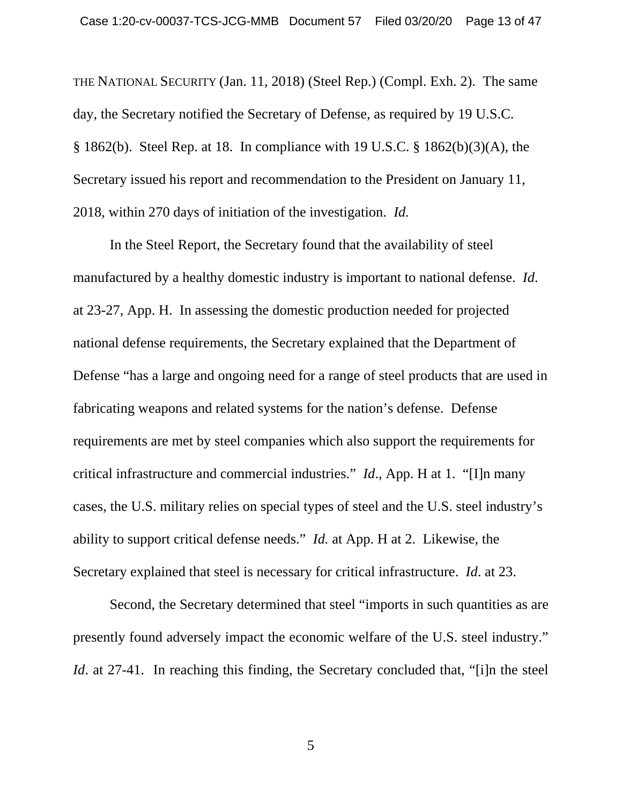THE NATIONAL SECURITY (Jan. 11, 2018) (Steel Rep.) (Compl. Exh. 2). The same day, the Secretary notified the Secretary of Defense, as required by 19 U.S.C. § 1862(b). Steel Rep. at 18. In compliance with 19 U.S.C. § 1862(b)(3)(A), the Secretary issued his report and recommendation to the President on January 11, 2018, within 270 days of initiation of the investigation. *Id.*

In the Steel Report, the Secretary found that the availability of steel manufactured by a healthy domestic industry is important to national defense. *Id*. at 23-27, App. H. In assessing the domestic production needed for projected national defense requirements, the Secretary explained that the Department of Defense "has a large and ongoing need for a range of steel products that are used in fabricating weapons and related systems for the nation's defense. Defense requirements are met by steel companies which also support the requirements for critical infrastructure and commercial industries." *Id*., App. H at 1. "[I]n many cases, the U.S. military relies on special types of steel and the U.S. steel industry's ability to support critical defense needs." *Id.* at App. H at 2. Likewise, the Secretary explained that steel is necessary for critical infrastructure. *Id*. at 23.

Second, the Secretary determined that steel "imports in such quantities as are presently found adversely impact the economic welfare of the U.S. steel industry." *Id.* at 27-41. In reaching this finding, the Secretary concluded that, "[i]n the steel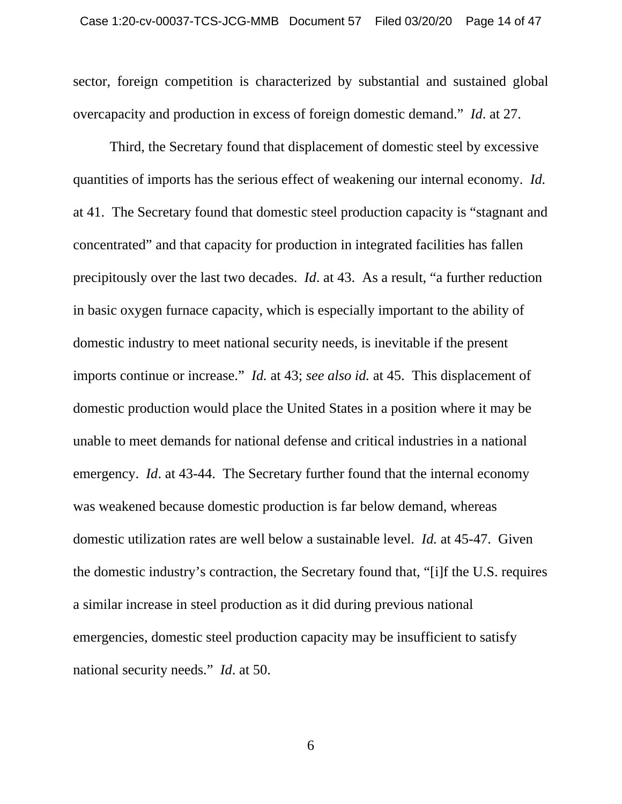sector, foreign competition is characterized by substantial and sustained global overcapacity and production in excess of foreign domestic demand." *Id*. at 27.

Third, the Secretary found that displacement of domestic steel by excessive quantities of imports has the serious effect of weakening our internal economy. *Id.* at 41. The Secretary found that domestic steel production capacity is "stagnant and concentrated" and that capacity for production in integrated facilities has fallen precipitously over the last two decades. *Id*. at 43. As a result, "a further reduction in basic oxygen furnace capacity, which is especially important to the ability of domestic industry to meet national security needs, is inevitable if the present imports continue or increase." *Id.* at 43; *see also id.* at 45. This displacement of domestic production would place the United States in a position where it may be unable to meet demands for national defense and critical industries in a national emergency. *Id.* at 43-44. The Secretary further found that the internal economy was weakened because domestic production is far below demand, whereas domestic utilization rates are well below a sustainable level. *Id.* at 45-47. Given the domestic industry's contraction, the Secretary found that, "[i]f the U.S. requires a similar increase in steel production as it did during previous national emergencies, domestic steel production capacity may be insufficient to satisfy national security needs." *Id*. at 50.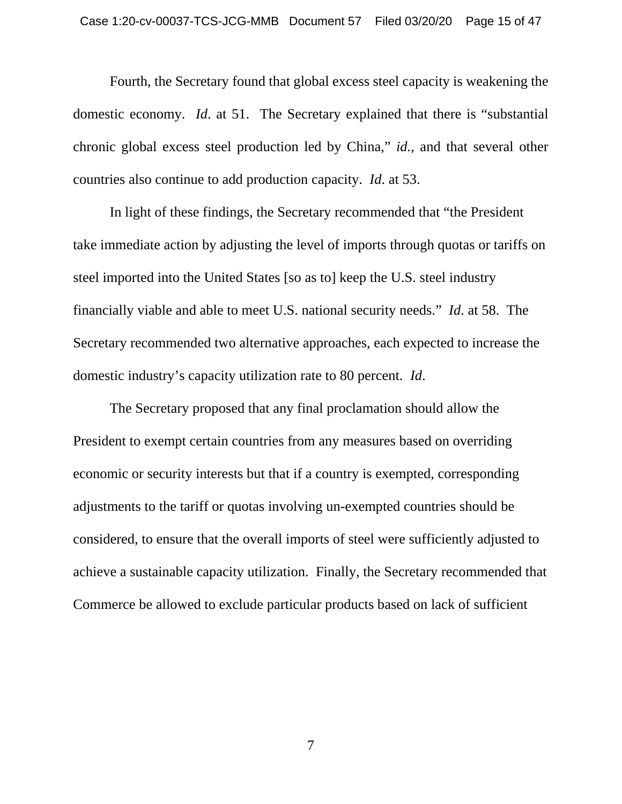Fourth, the Secretary found that global excess steel capacity is weakening the domestic economy. *Id*. at 51. The Secretary explained that there is "substantial chronic global excess steel production led by China," *id.*, and that several other countries also continue to add production capacity. *Id*. at 53.

In light of these findings, the Secretary recommended that "the President take immediate action by adjusting the level of imports through quotas or tariffs on steel imported into the United States [so as to] keep the U.S. steel industry financially viable and able to meet U.S. national security needs." *Id*. at 58. The Secretary recommended two alternative approaches, each expected to increase the domestic industry's capacity utilization rate to 80 percent. *Id*.

The Secretary proposed that any final proclamation should allow the President to exempt certain countries from any measures based on overriding economic or security interests but that if a country is exempted, corresponding adjustments to the tariff or quotas involving un-exempted countries should be considered, to ensure that the overall imports of steel were sufficiently adjusted to achieve a sustainable capacity utilization. Finally, the Secretary recommended that Commerce be allowed to exclude particular products based on lack of sufficient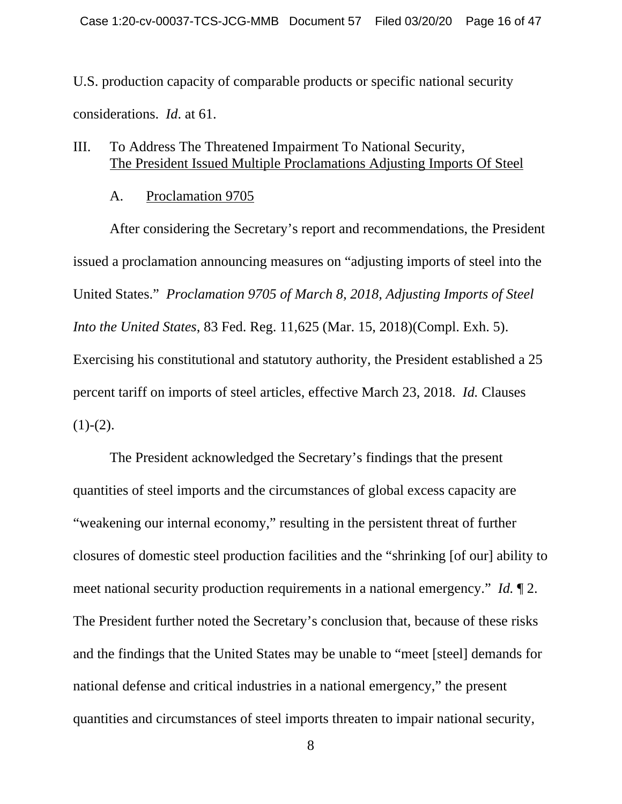U.S. production capacity of comparable products or specific national security considerations. *Id*. at 61.

#### III. To Address The Threatened Impairment To National Security, The President Issued Multiple Proclamations Adjusting Imports Of Steel

A. Proclamation 9705

After considering the Secretary's report and recommendations, the President issued a proclamation announcing measures on "adjusting imports of steel into the United States." *Proclamation 9705 of March 8, 2018, Adjusting Imports of Steel Into the United States*, 83 Fed. Reg. 11,625 (Mar. 15, 2018)(Compl. Exh. 5). Exercising his constitutional and statutory authority, the President established a 25 percent tariff on imports of steel articles, effective March 23, 2018. *Id.* Clauses  $(1)-(2)$ .

The President acknowledged the Secretary's findings that the present quantities of steel imports and the circumstances of global excess capacity are "weakening our internal economy," resulting in the persistent threat of further closures of domestic steel production facilities and the "shrinking [of our] ability to meet national security production requirements in a national emergency." *Id.* ¶ 2. The President further noted the Secretary's conclusion that, because of these risks and the findings that the United States may be unable to "meet [steel] demands for national defense and critical industries in a national emergency," the present quantities and circumstances of steel imports threaten to impair national security,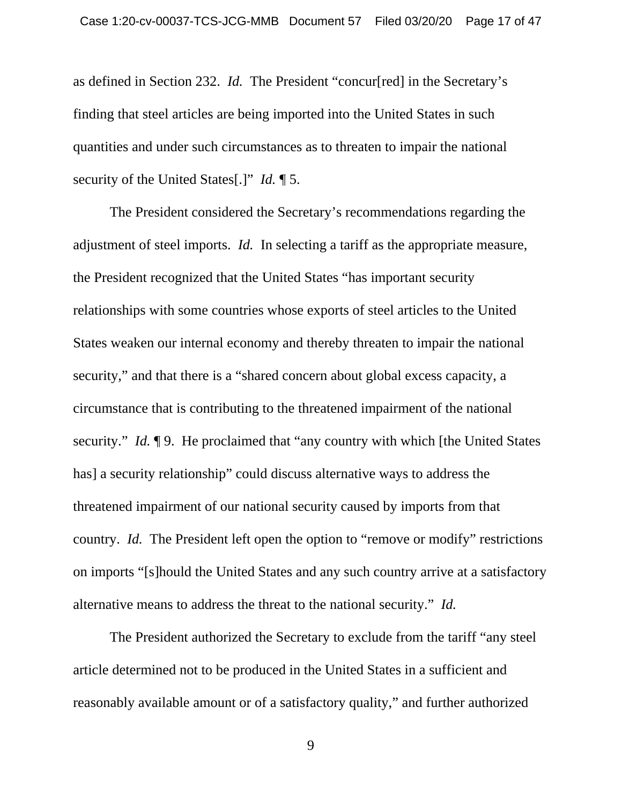as defined in Section 232. *Id.* The President "concur[red] in the Secretary's finding that steel articles are being imported into the United States in such quantities and under such circumstances as to threaten to impair the national security of the United States[.]" *Id.* ¶ 5.

The President considered the Secretary's recommendations regarding the adjustment of steel imports. *Id.* In selecting a tariff as the appropriate measure, the President recognized that the United States "has important security relationships with some countries whose exports of steel articles to the United States weaken our internal economy and thereby threaten to impair the national security," and that there is a "shared concern about global excess capacity, a circumstance that is contributing to the threatened impairment of the national security." *Id.* 19. He proclaimed that "any country with which [the United States has] a security relationship" could discuss alternative ways to address the threatened impairment of our national security caused by imports from that country. *Id.* The President left open the option to "remove or modify" restrictions on imports "[s]hould the United States and any such country arrive at a satisfactory alternative means to address the threat to the national security." *Id.* 

The President authorized the Secretary to exclude from the tariff "any steel article determined not to be produced in the United States in a sufficient and reasonably available amount or of a satisfactory quality," and further authorized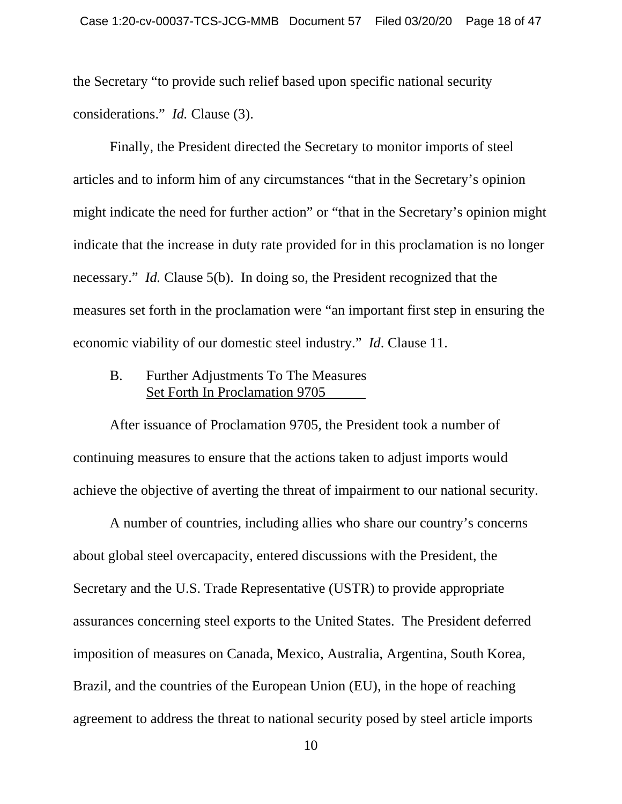the Secretary "to provide such relief based upon specific national security considerations." *Id.* Clause (3).

Finally, the President directed the Secretary to monitor imports of steel articles and to inform him of any circumstances "that in the Secretary's opinion might indicate the need for further action" or "that in the Secretary's opinion might indicate that the increase in duty rate provided for in this proclamation is no longer necessary." *Id.* Clause 5(b). In doing so, the President recognized that the measures set forth in the proclamation were "an important first step in ensuring the economic viability of our domestic steel industry." *Id*. Clause 11.

B. Further Adjustments To The Measures Set Forth In Proclamation 9705

After issuance of Proclamation 9705, the President took a number of continuing measures to ensure that the actions taken to adjust imports would achieve the objective of averting the threat of impairment to our national security.

A number of countries, including allies who share our country's concerns about global steel overcapacity, entered discussions with the President, the Secretary and the U.S. Trade Representative (USTR) to provide appropriate assurances concerning steel exports to the United States. The President deferred imposition of measures on Canada, Mexico, Australia, Argentina, South Korea, Brazil, and the countries of the European Union (EU), in the hope of reaching agreement to address the threat to national security posed by steel article imports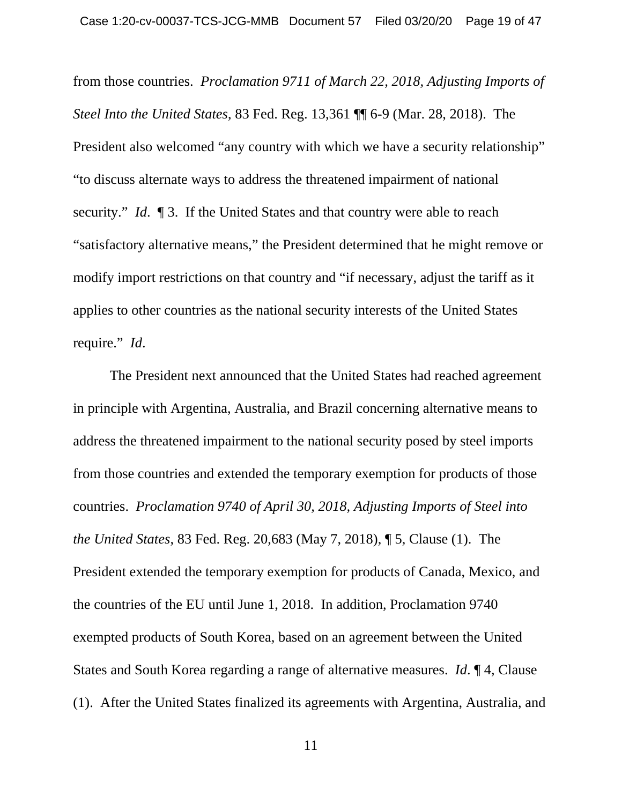from those countries. *Proclamation 9711 of March 22, 2018, Adjusting Imports of Steel Into the United States*, 83 Fed. Reg. 13,361 ¶¶ 6-9 (Mar. 28, 2018). The President also welcomed "any country with which we have a security relationship" "to discuss alternate ways to address the threatened impairment of national security." *Id*. ¶ 3. If the United States and that country were able to reach "satisfactory alternative means," the President determined that he might remove or modify import restrictions on that country and "if necessary, adjust the tariff as it applies to other countries as the national security interests of the United States require." *Id*.

The President next announced that the United States had reached agreement in principle with Argentina, Australia, and Brazil concerning alternative means to address the threatened impairment to the national security posed by steel imports from those countries and extended the temporary exemption for products of those countries. *Proclamation 9740 of April 30, 2018, Adjusting Imports of Steel into the United States*, 83 Fed. Reg. 20,683 (May 7, 2018), ¶ 5, Clause (1). The President extended the temporary exemption for products of Canada, Mexico, and the countries of the EU until June 1, 2018. In addition, Proclamation 9740 exempted products of South Korea, based on an agreement between the United States and South Korea regarding a range of alternative measures. *Id*. ¶ 4, Clause (1). After the United States finalized its agreements with Argentina, Australia, and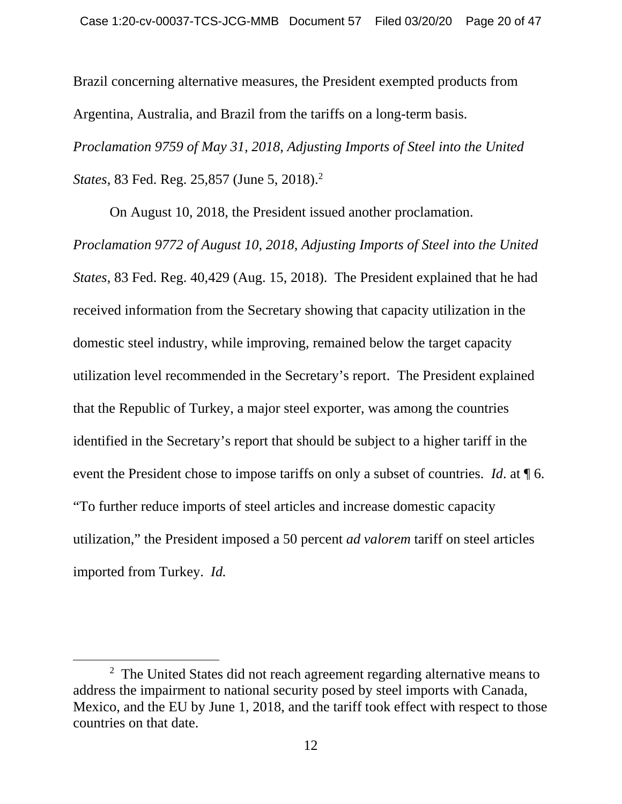Brazil concerning alternative measures, the President exempted products from Argentina, Australia, and Brazil from the tariffs on a long-term basis. *Proclamation 9759 of May 31, 2018*, *Adjusting Imports of Steel into the United States*, 83 Fed. Reg. 25,857 (June 5, 2018).<sup>2</sup>

On August 10, 2018, the President issued another proclamation.

*Proclamation 9772 of August 10, 2018*, *Adjusting Imports of Steel into the United States*, 83 Fed. Reg. 40,429 (Aug. 15, 2018). The President explained that he had received information from the Secretary showing that capacity utilization in the domestic steel industry, while improving, remained below the target capacity utilization level recommended in the Secretary's report. The President explained that the Republic of Turkey, a major steel exporter, was among the countries identified in the Secretary's report that should be subject to a higher tariff in the event the President chose to impose tariffs on only a subset of countries. *Id*. at ¶ 6. "To further reduce imports of steel articles and increase domestic capacity utilization," the President imposed a 50 percent *ad valorem* tariff on steel articles imported from Turkey. *Id.*

 <sup>2</sup>  $2\degree$  The United States did not reach agreement regarding alternative means to address the impairment to national security posed by steel imports with Canada, Mexico, and the EU by June 1, 2018, and the tariff took effect with respect to those countries on that date.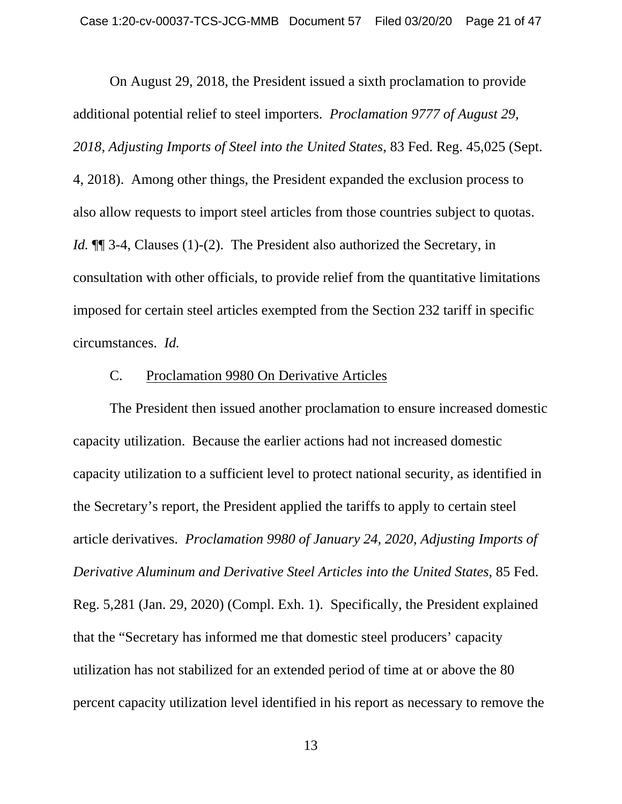On August 29, 2018, the President issued a sixth proclamation to provide additional potential relief to steel importers. *Proclamation 9777 of August 29, 2018*, *Adjusting Imports of Steel into the United States*, 83 Fed. Reg. 45,025 (Sept. 4, 2018). Among other things, the President expanded the exclusion process to also allow requests to import steel articles from those countries subject to quotas. *Id.* **[1]** 3-4, Clauses (1)-(2). The President also authorized the Secretary, in consultation with other officials, to provide relief from the quantitative limitations imposed for certain steel articles exempted from the Section 232 tariff in specific circumstances. *Id.* 

#### C. Proclamation 9980 On Derivative Articles

The President then issued another proclamation to ensure increased domestic capacity utilization. Because the earlier actions had not increased domestic capacity utilization to a sufficient level to protect national security, as identified in the Secretary's report, the President applied the tariffs to apply to certain steel article derivatives. *Proclamation 9980 of January 24, 2020*, *Adjusting Imports of Derivative Aluminum and Derivative Steel Articles into the United States*, 85 Fed. Reg. 5,281 (Jan. 29, 2020) (Compl. Exh. 1). Specifically, the President explained that the "Secretary has informed me that domestic steel producers' capacity utilization has not stabilized for an extended period of time at or above the 80 percent capacity utilization level identified in his report as necessary to remove the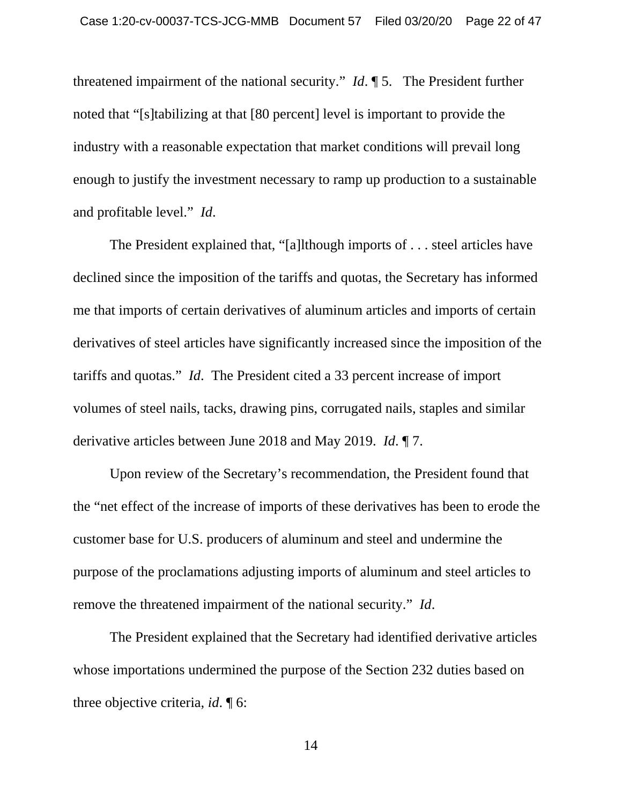threatened impairment of the national security." *Id*. ¶ 5. The President further noted that "[s]tabilizing at that [80 percent] level is important to provide the industry with a reasonable expectation that market conditions will prevail long enough to justify the investment necessary to ramp up production to a sustainable and profitable level." *Id*.

The President explained that, "[a]lthough imports of . . . steel articles have declined since the imposition of the tariffs and quotas, the Secretary has informed me that imports of certain derivatives of aluminum articles and imports of certain derivatives of steel articles have significantly increased since the imposition of the tariffs and quotas." *Id*. The President cited a 33 percent increase of import volumes of steel nails, tacks, drawing pins, corrugated nails, staples and similar derivative articles between June 2018 and May 2019. *Id*. ¶ 7.

Upon review of the Secretary's recommendation, the President found that the "net effect of the increase of imports of these derivatives has been to erode the customer base for U.S. producers of aluminum and steel and undermine the purpose of the proclamations adjusting imports of aluminum and steel articles to remove the threatened impairment of the national security." *Id*.

The President explained that the Secretary had identified derivative articles whose importations undermined the purpose of the Section 232 duties based on three objective criteria, *id*. ¶ 6: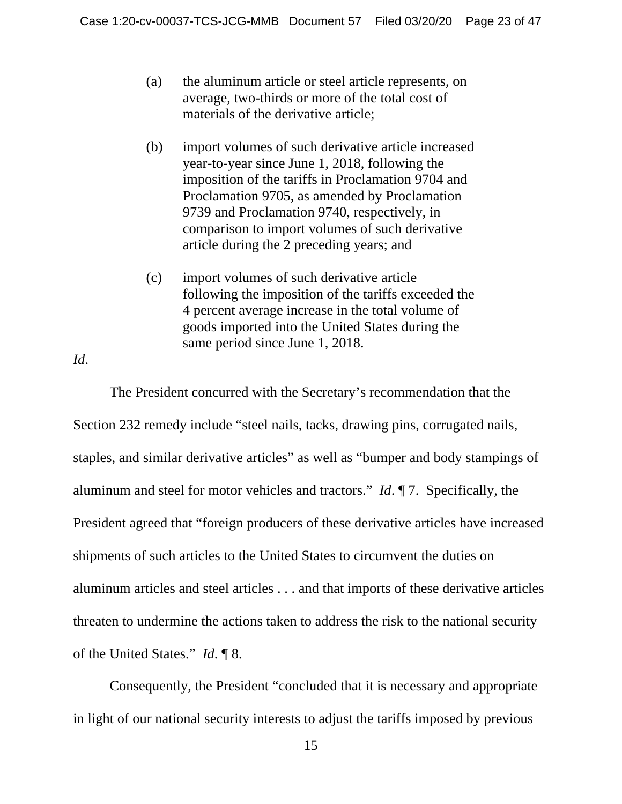- (a) the aluminum article or steel article represents, on average, two-thirds or more of the total cost of materials of the derivative article;
- (b) import volumes of such derivative article increased year-to-year since June 1, 2018, following the imposition of the tariffs in Proclamation 9704 and Proclamation 9705, as amended by Proclamation 9739 and Proclamation 9740, respectively, in comparison to import volumes of such derivative article during the 2 preceding years; and
- (c) import volumes of such derivative article following the imposition of the tariffs exceeded the 4 percent average increase in the total volume of goods imported into the United States during the same period since June 1, 2018.

*Id*.

 The President concurred with the Secretary's recommendation that the Section 232 remedy include "steel nails, tacks, drawing pins, corrugated nails, staples, and similar derivative articles" as well as "bumper and body stampings of aluminum and steel for motor vehicles and tractors." *Id*. ¶ 7. Specifically, the President agreed that "foreign producers of these derivative articles have increased shipments of such articles to the United States to circumvent the duties on aluminum articles and steel articles . . . and that imports of these derivative articles threaten to undermine the actions taken to address the risk to the national security of the United States." *Id*. ¶ 8.

 Consequently, the President "concluded that it is necessary and appropriate in light of our national security interests to adjust the tariffs imposed by previous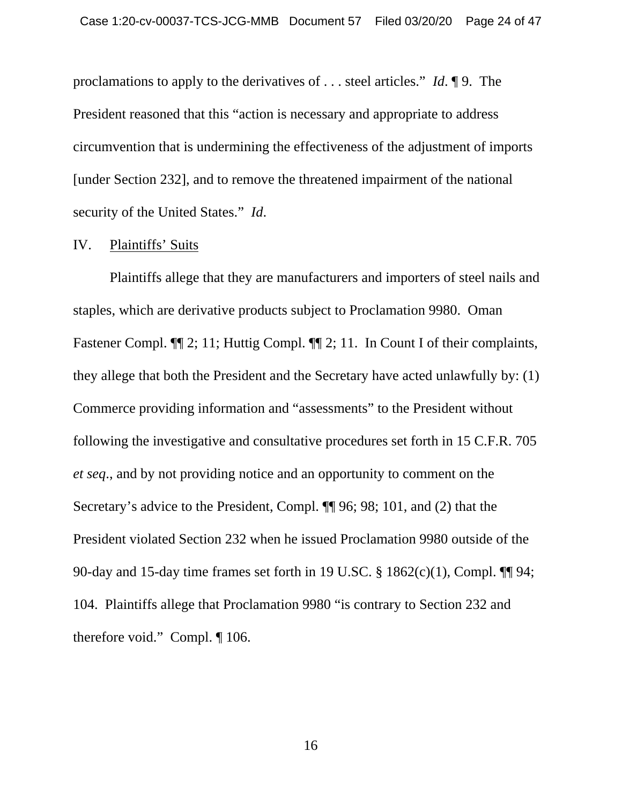proclamations to apply to the derivatives of . . . steel articles." *Id*. ¶ 9. The President reasoned that this "action is necessary and appropriate to address circumvention that is undermining the effectiveness of the adjustment of imports [under Section 232], and to remove the threatened impairment of the national security of the United States." *Id*.

#### IV. Plaintiffs' Suits

Plaintiffs allege that they are manufacturers and importers of steel nails and staples, which are derivative products subject to Proclamation 9980. Oman Fastener Compl.  $\P$ [2; 11; Huttig Compl.  $\P$ [2; 11. In Count I of their complaints, they allege that both the President and the Secretary have acted unlawfully by: (1) Commerce providing information and "assessments" to the President without following the investigative and consultative procedures set forth in 15 C.F.R. 705 *et seq*., and by not providing notice and an opportunity to comment on the Secretary's advice to the President, Compl. ¶¶ 96; 98; 101, and (2) that the President violated Section 232 when he issued Proclamation 9980 outside of the 90-day and 15-day time frames set forth in 19 U.SC. § 1862(c)(1), Compl. ¶¶ 94; 104. Plaintiffs allege that Proclamation 9980 "is contrary to Section 232 and therefore void." Compl. ¶ 106.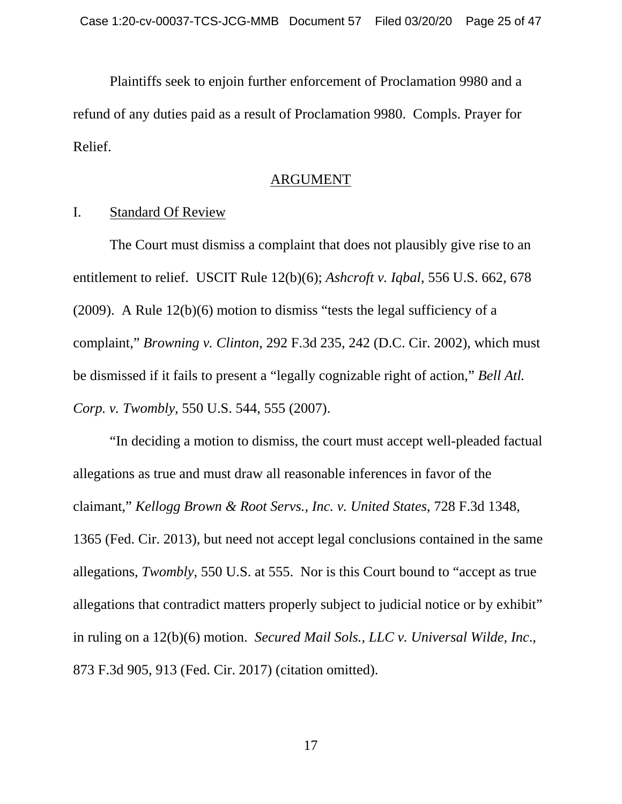Plaintiffs seek to enjoin further enforcement of Proclamation 9980 and a refund of any duties paid as a result of Proclamation 9980. Compls. Prayer for Relief.

#### ARGUMENT

#### I. Standard Of Review

The Court must dismiss a complaint that does not plausibly give rise to an entitlement to relief. USCIT Rule 12(b)(6); *Ashcroft v. Iqbal*, 556 U.S. 662, 678 (2009). A Rule  $12(b)(6)$  motion to dismiss "tests the legal sufficiency of a complaint," *Browning v. Clinton*, 292 F.3d 235, 242 (D.C. Cir. 2002), which must be dismissed if it fails to present a "legally cognizable right of action," *Bell Atl. Corp. v. Twombly*, 550 U.S. 544, 555 (2007).

"In deciding a motion to dismiss, the court must accept well-pleaded factual allegations as true and must draw all reasonable inferences in favor of the claimant," *Kellogg Brown & Root Servs., Inc. v. United States*, 728 F.3d 1348, 1365 (Fed. Cir. 2013), but need not accept legal conclusions contained in the same allegations, *Twombly*, 550 U.S. at 555. Nor is this Court bound to "accept as true allegations that contradict matters properly subject to judicial notice or by exhibit" in ruling on a 12(b)(6) motion. *Secured Mail Sols., LLC v. Universal Wilde, Inc*., 873 F.3d 905, 913 (Fed. Cir. 2017) (citation omitted).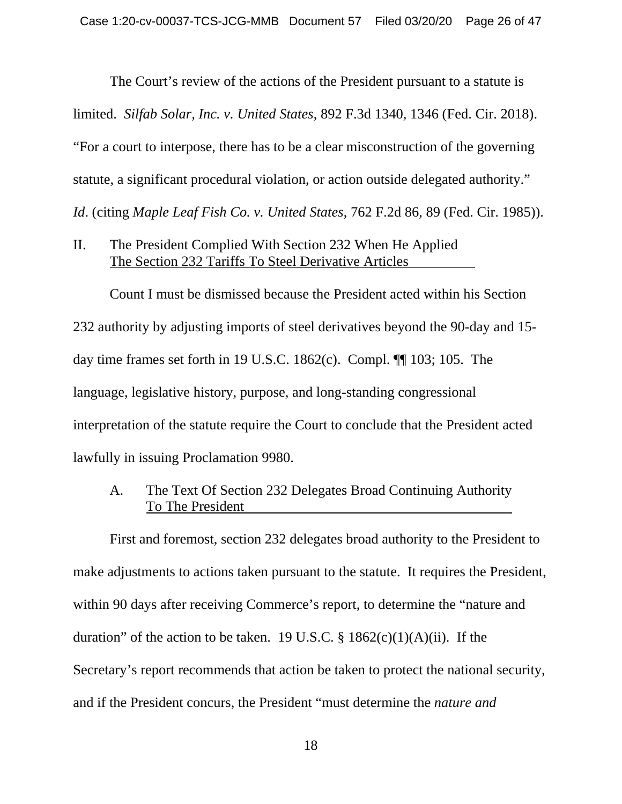The Court's review of the actions of the President pursuant to a statute is

limited. *Silfab Solar, Inc. v. United States*, 892 F.3d 1340, 1346 (Fed. Cir. 2018).

"For a court to interpose, there has to be a clear misconstruction of the governing

statute, a significant procedural violation, or action outside delegated authority."

*Id*. (citing *Maple Leaf Fish Co. v. United States*, 762 F.2d 86, 89 (Fed. Cir. 1985)).

II. The President Complied With Section 232 When He Applied The Section 232 Tariffs To Steel Derivative Articles

Count I must be dismissed because the President acted within his Section 232 authority by adjusting imports of steel derivatives beyond the 90-day and 15 day time frames set forth in 19 U.S.C. 1862(c). Compl. ¶¶ 103; 105. The language, legislative history, purpose, and long-standing congressional interpretation of the statute require the Court to conclude that the President acted lawfully in issuing Proclamation 9980.

A. The Text Of Section 232 Delegates Broad Continuing Authority To The President

First and foremost, section 232 delegates broad authority to the President to make adjustments to actions taken pursuant to the statute. It requires the President, within 90 days after receiving Commerce's report, to determine the "nature and duration" of the action to be taken. 19 U.S.C.  $\S$  1862(c)(1)(A)(ii). If the Secretary's report recommends that action be taken to protect the national security, and if the President concurs, the President "must determine the *nature and*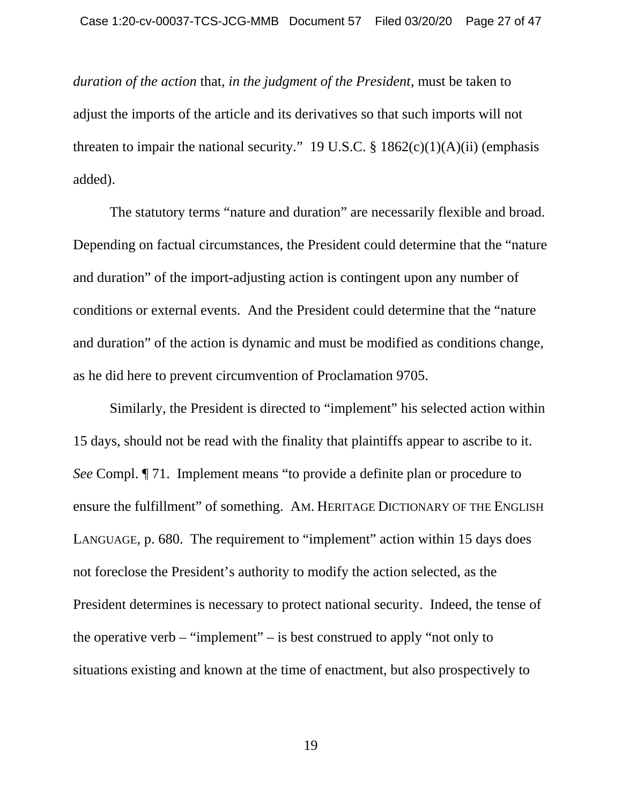*duration of the action* that, *in the judgment of the President*, must be taken to adjust the imports of the article and its derivatives so that such imports will not threaten to impair the national security." 19 U.S.C.  $\S$  1862(c)(1)(A)(ii) (emphasis added).

The statutory terms "nature and duration" are necessarily flexible and broad. Depending on factual circumstances, the President could determine that the "nature and duration" of the import-adjusting action is contingent upon any number of conditions or external events. And the President could determine that the "nature and duration" of the action is dynamic and must be modified as conditions change, as he did here to prevent circumvention of Proclamation 9705.

Similarly, the President is directed to "implement" his selected action within 15 days, should not be read with the finality that plaintiffs appear to ascribe to it. *See* Compl. ¶ 71. Implement means "to provide a definite plan or procedure to ensure the fulfillment" of something. AM. HERITAGE DICTIONARY OF THE ENGLISH LANGUAGE, p. 680. The requirement to "implement" action within 15 days does not foreclose the President's authority to modify the action selected, as the President determines is necessary to protect national security. Indeed, the tense of the operative verb – "implement" – is best construed to apply "not only to situations existing and known at the time of enactment, but also prospectively to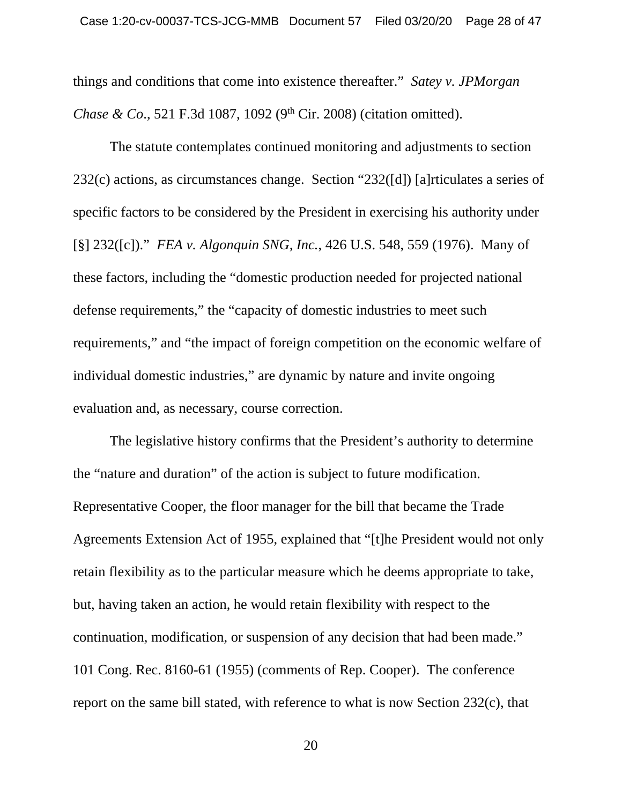things and conditions that come into existence thereafter." *Satey v. JPMorgan Chase & Co.*, 521 F.3d 1087, 1092 (9<sup>th</sup> Cir. 2008) (citation omitted).

The statute contemplates continued monitoring and adjustments to section 232(c) actions, as circumstances change. Section "232([d]) [a]rticulates a series of specific factors to be considered by the President in exercising his authority under [§] 232([c])." *FEA v. Algonquin SNG, Inc.*, 426 U.S. 548, 559 (1976). Many of these factors, including the "domestic production needed for projected national defense requirements," the "capacity of domestic industries to meet such requirements," and "the impact of foreign competition on the economic welfare of individual domestic industries," are dynamic by nature and invite ongoing evaluation and, as necessary, course correction.

The legislative history confirms that the President's authority to determine the "nature and duration" of the action is subject to future modification. Representative Cooper, the floor manager for the bill that became the Trade Agreements Extension Act of 1955, explained that "[t]he President would not only retain flexibility as to the particular measure which he deems appropriate to take, but, having taken an action, he would retain flexibility with respect to the continuation, modification, or suspension of any decision that had been made." 101 Cong. Rec. 8160-61 (1955) (comments of Rep. Cooper). The conference report on the same bill stated, with reference to what is now Section 232(c), that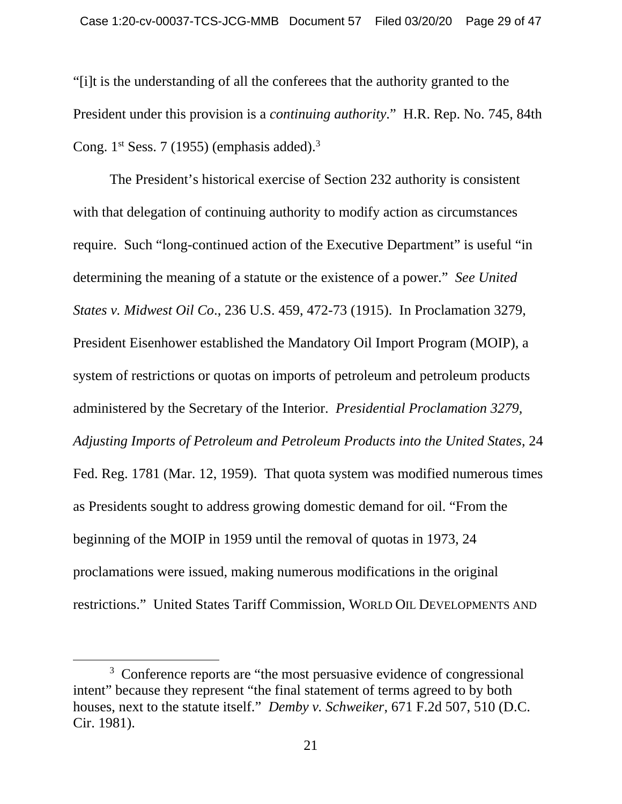"[i]t is the understanding of all the conferees that the authority granted to the President under this provision is a *continuing authority*." H.R. Rep. No. 745, 84th Cong.  $1<sup>st</sup>$  Sess. 7 (1955) (emphasis added).<sup>3</sup>

The President's historical exercise of Section 232 authority is consistent with that delegation of continuing authority to modify action as circumstances require. Such "long-continued action of the Executive Department" is useful "in determining the meaning of a statute or the existence of a power." *See United States v. Midwest Oil Co*., 236 U.S. 459, 472-73 (1915). In Proclamation 3279, President Eisenhower established the Mandatory Oil Import Program (MOIP), a system of restrictions or quotas on imports of petroleum and petroleum products administered by the Secretary of the Interior. *Presidential Proclamation 3279, Adjusting Imports of Petroleum and Petroleum Products into the United States*, 24 Fed. Reg. 1781 (Mar. 12, 1959). That quota system was modified numerous times as Presidents sought to address growing domestic demand for oil. "From the beginning of the MOIP in 1959 until the removal of quotas in 1973, 24 proclamations were issued, making numerous modifications in the original restrictions." United States Tariff Commission, WORLD OIL DEVELOPMENTS AND

 $\frac{1}{3}$ <sup>3</sup> Conference reports are "the most persuasive evidence of congressional intent" because they represent "the final statement of terms agreed to by both houses, next to the statute itself." *Demby v. Schweiker*, 671 F.2d 507, 510 (D.C. Cir. 1981).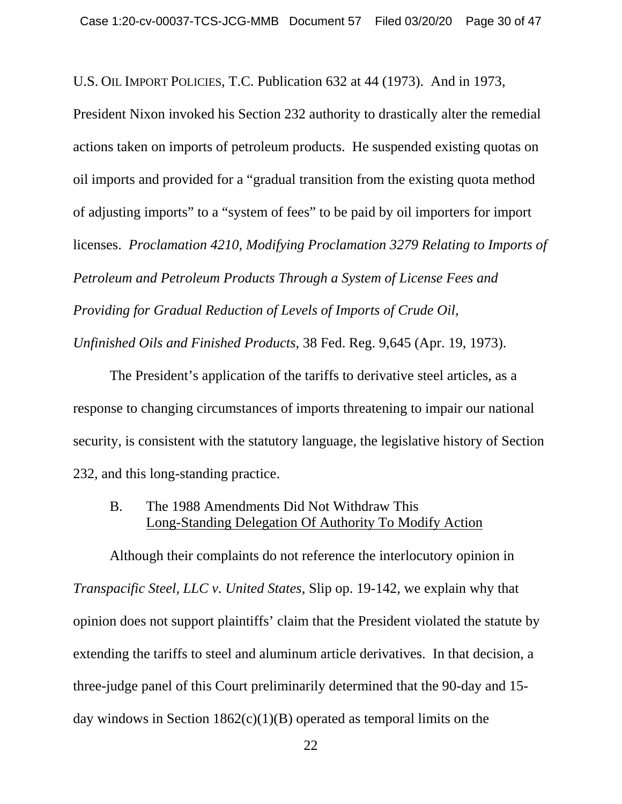U.S. OIL IMPORT POLICIES, T.C. Publication 632 at 44 (1973). And in 1973,

President Nixon invoked his Section 232 authority to drastically alter the remedial actions taken on imports of petroleum products. He suspended existing quotas on oil imports and provided for a "gradual transition from the existing quota method of adjusting imports" to a "system of fees" to be paid by oil importers for import licenses. *Proclamation 4210, Modifying Proclamation 3279 Relating to Imports of Petroleum and Petroleum Products Through a System of License Fees and Providing for Gradual Reduction of Levels of Imports of Crude Oil, Unfinished Oils and Finished Products*, 38 Fed. Reg. 9,645 (Apr. 19, 1973).

The President's application of the tariffs to derivative steel articles, as a response to changing circumstances of imports threatening to impair our national security, is consistent with the statutory language, the legislative history of Section 232, and this long-standing practice.

## B. The 1988 Amendments Did Not Withdraw This Long-Standing Delegation Of Authority To Modify Action

Although their complaints do not reference the interlocutory opinion in *Transpacific Steel, LLC v. United States*, Slip op. 19-142, we explain why that opinion does not support plaintiffs' claim that the President violated the statute by extending the tariffs to steel and aluminum article derivatives. In that decision, a three-judge panel of this Court preliminarily determined that the 90-day and 15 day windows in Section  $1862(c)(1)(B)$  operated as temporal limits on the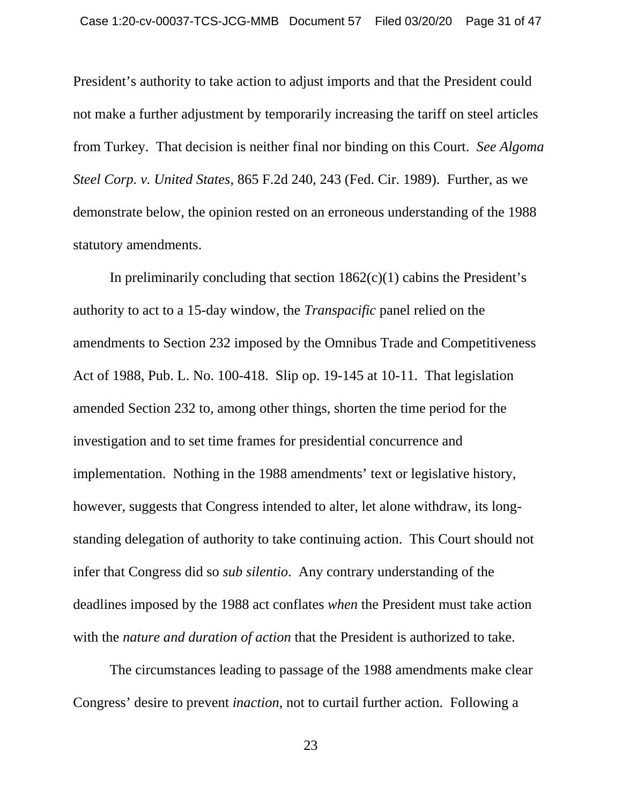President's authority to take action to adjust imports and that the President could not make a further adjustment by temporarily increasing the tariff on steel articles from Turkey. That decision is neither final nor binding on this Court. *See Algoma Steel Corp. v. United States*, 865 F.2d 240, 243 (Fed. Cir. 1989). Further, as we demonstrate below, the opinion rested on an erroneous understanding of the 1988 statutory amendments.

In preliminarily concluding that section  $1862(c)(1)$  cabins the President's authority to act to a 15-day window, the *Transpacific* panel relied on the amendments to Section 232 imposed by the Omnibus Trade and Competitiveness Act of 1988, Pub. L. No. 100-418. Slip op. 19-145 at 10-11. That legislation amended Section 232 to, among other things, shorten the time period for the investigation and to set time frames for presidential concurrence and implementation. Nothing in the 1988 amendments' text or legislative history, however, suggests that Congress intended to alter, let alone withdraw, its longstanding delegation of authority to take continuing action. This Court should not infer that Congress did so *sub silentio*. Any contrary understanding of the deadlines imposed by the 1988 act conflates *when* the President must take action with the *nature and duration of action* that the President is authorized to take.

The circumstances leading to passage of the 1988 amendments make clear Congress' desire to prevent *inaction*, not to curtail further action. Following a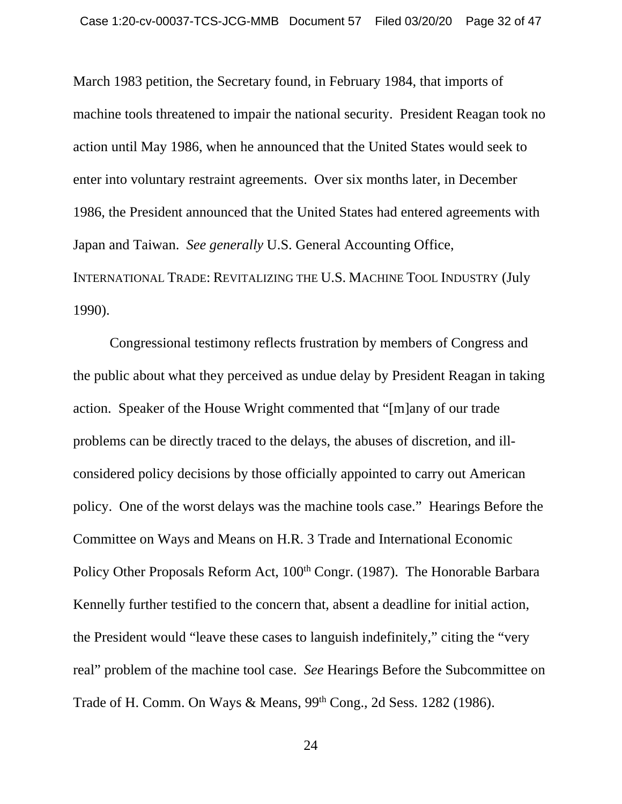March 1983 petition, the Secretary found, in February 1984, that imports of machine tools threatened to impair the national security. President Reagan took no action until May 1986, when he announced that the United States would seek to enter into voluntary restraint agreements. Over six months later, in December 1986, the President announced that the United States had entered agreements with Japan and Taiwan. *See generally* U.S. General Accounting Office, INTERNATIONAL TRADE: REVITALIZING THE U.S. MACHINE TOOL INDUSTRY (July 1990).

Congressional testimony reflects frustration by members of Congress and the public about what they perceived as undue delay by President Reagan in taking action. Speaker of the House Wright commented that "[m]any of our trade problems can be directly traced to the delays, the abuses of discretion, and illconsidered policy decisions by those officially appointed to carry out American policy. One of the worst delays was the machine tools case." Hearings Before the Committee on Ways and Means on H.R. 3 Trade and International Economic Policy Other Proposals Reform Act, 100<sup>th</sup> Congr. (1987). The Honorable Barbara Kennelly further testified to the concern that, absent a deadline for initial action, the President would "leave these cases to languish indefinitely," citing the "very real" problem of the machine tool case. *See* Hearings Before the Subcommittee on Trade of H. Comm. On Ways & Means, 99<sup>th</sup> Cong., 2d Sess. 1282 (1986).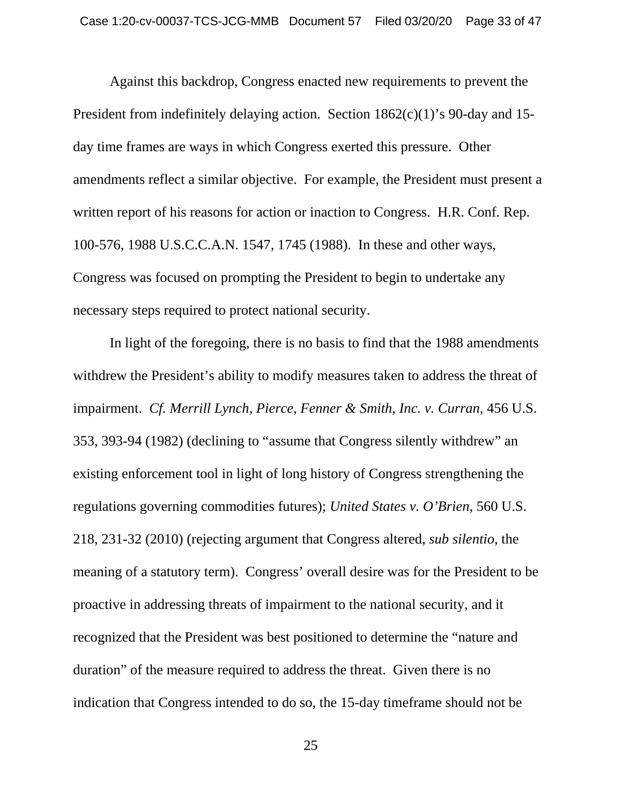Against this backdrop, Congress enacted new requirements to prevent the President from indefinitely delaying action. Section 1862(c)(1)'s 90-day and 15 day time frames are ways in which Congress exerted this pressure. Other amendments reflect a similar objective. For example, the President must present a written report of his reasons for action or inaction to Congress. H.R. Conf. Rep. 100-576, 1988 U.S.C.C.A.N. 1547, 1745 (1988). In these and other ways, Congress was focused on prompting the President to begin to undertake any necessary steps required to protect national security.

In light of the foregoing, there is no basis to find that the 1988 amendments withdrew the President's ability to modify measures taken to address the threat of impairment. *Cf. Merrill Lynch, Pierce, Fenner & Smith, Inc. v. Curran*, 456 U.S. 353, 393-94 (1982) (declining to "assume that Congress silently withdrew" an existing enforcement tool in light of long history of Congress strengthening the regulations governing commodities futures); *United States v. O'Brien*, 560 U.S. 218, 231-32 (2010) (rejecting argument that Congress altered, *sub silentio*, the meaning of a statutory term). Congress' overall desire was for the President to be proactive in addressing threats of impairment to the national security, and it recognized that the President was best positioned to determine the "nature and duration" of the measure required to address the threat. Given there is no indication that Congress intended to do so, the 15-day timeframe should not be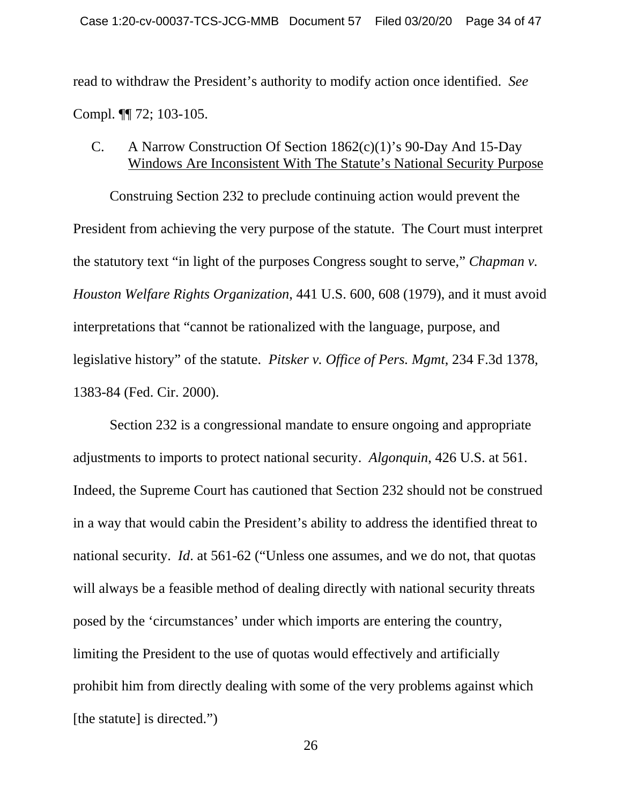read to withdraw the President's authority to modify action once identified. *See* Compl. ¶¶ 72; 103-105.

## C. A Narrow Construction Of Section 1862(c)(1)'s 90-Day And 15-Day Windows Are Inconsistent With The Statute's National Security Purpose

Construing Section 232 to preclude continuing action would prevent the President from achieving the very purpose of the statute. The Court must interpret the statutory text "in light of the purposes Congress sought to serve," *Chapman v. Houston Welfare Rights Organization*, 441 U.S. 600, 608 (1979), and it must avoid interpretations that "cannot be rationalized with the language, purpose, and legislative history" of the statute. *Pitsker v. Office of Pers. Mgmt*, 234 F.3d 1378, 1383-84 (Fed. Cir. 2000).

Section 232 is a congressional mandate to ensure ongoing and appropriate adjustments to imports to protect national security. *Algonquin*, 426 U.S. at 561. Indeed, the Supreme Court has cautioned that Section 232 should not be construed in a way that would cabin the President's ability to address the identified threat to national security. *Id*. at 561-62 ("Unless one assumes, and we do not, that quotas will always be a feasible method of dealing directly with national security threats posed by the 'circumstances' under which imports are entering the country, limiting the President to the use of quotas would effectively and artificially prohibit him from directly dealing with some of the very problems against which [the statute] is directed.")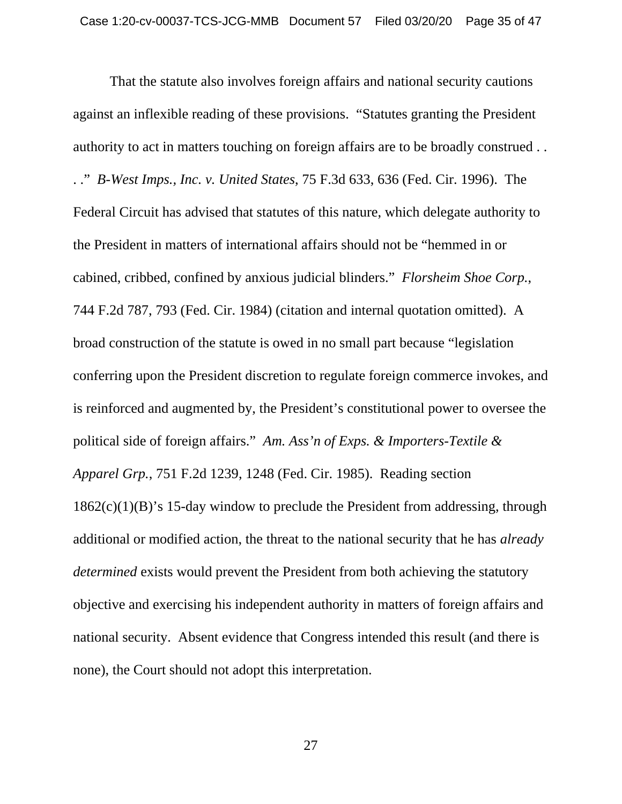That the statute also involves foreign affairs and national security cautions against an inflexible reading of these provisions. "Statutes granting the President authority to act in matters touching on foreign affairs are to be broadly construed . . . ." *B-West Imps., Inc. v. United States*, 75 F.3d 633, 636 (Fed. Cir. 1996). The Federal Circuit has advised that statutes of this nature, which delegate authority to the President in matters of international affairs should not be "hemmed in or cabined, cribbed, confined by anxious judicial blinders." *Florsheim Shoe Corp.*, 744 F.2d 787, 793 (Fed. Cir. 1984) (citation and internal quotation omitted). A broad construction of the statute is owed in no small part because "legislation conferring upon the President discretion to regulate foreign commerce invokes, and is reinforced and augmented by, the President's constitutional power to oversee the political side of foreign affairs." *Am. Ass'n of Exps. & Importers-Textile & Apparel Grp.*, 751 F.2d 1239, 1248 (Fed. Cir. 1985). Reading section  $1862(c)(1)(B)$ 's 15-day window to preclude the President from addressing, through additional or modified action, the threat to the national security that he has *already determined* exists would prevent the President from both achieving the statutory objective and exercising his independent authority in matters of foreign affairs and national security. Absent evidence that Congress intended this result (and there is none), the Court should not adopt this interpretation.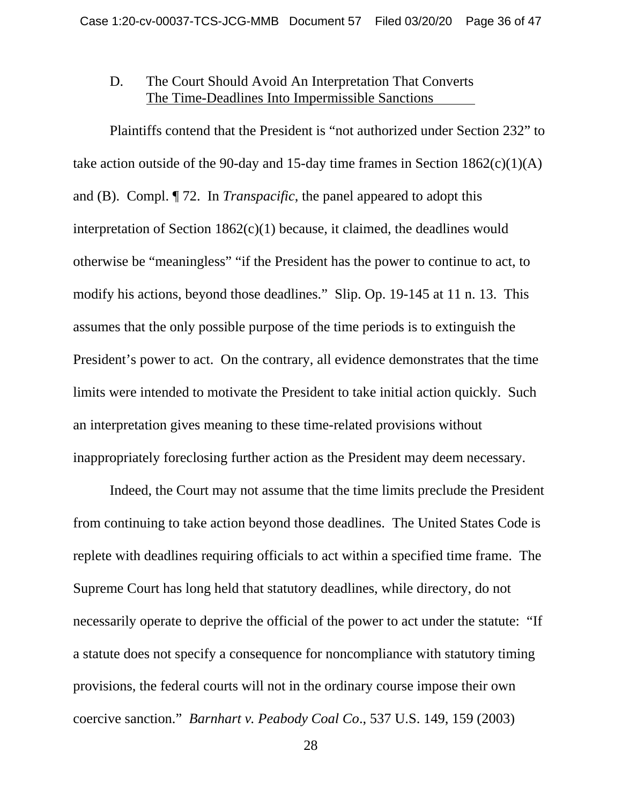## D. The Court Should Avoid An Interpretation That Converts The Time-Deadlines Into Impermissible Sanctions

Plaintiffs contend that the President is "not authorized under Section 232" to take action outside of the 90-day and 15-day time frames in Section  $1862(c)(1)(A)$ and (B). Compl. ¶ 72. In *Transpacific*, the panel appeared to adopt this interpretation of Section 1862(c)(1) because, it claimed, the deadlines would otherwise be "meaningless" "if the President has the power to continue to act, to modify his actions, beyond those deadlines." Slip. Op. 19-145 at 11 n. 13. This assumes that the only possible purpose of the time periods is to extinguish the President's power to act. On the contrary, all evidence demonstrates that the time limits were intended to motivate the President to take initial action quickly. Such an interpretation gives meaning to these time-related provisions without inappropriately foreclosing further action as the President may deem necessary.

Indeed, the Court may not assume that the time limits preclude the President from continuing to take action beyond those deadlines. The United States Code is replete with deadlines requiring officials to act within a specified time frame. The Supreme Court has long held that statutory deadlines, while directory, do not necessarily operate to deprive the official of the power to act under the statute: "If a statute does not specify a consequence for noncompliance with statutory timing provisions, the federal courts will not in the ordinary course impose their own coercive sanction." *Barnhart v. Peabody Coal Co*., 537 U.S. 149, 159 (2003)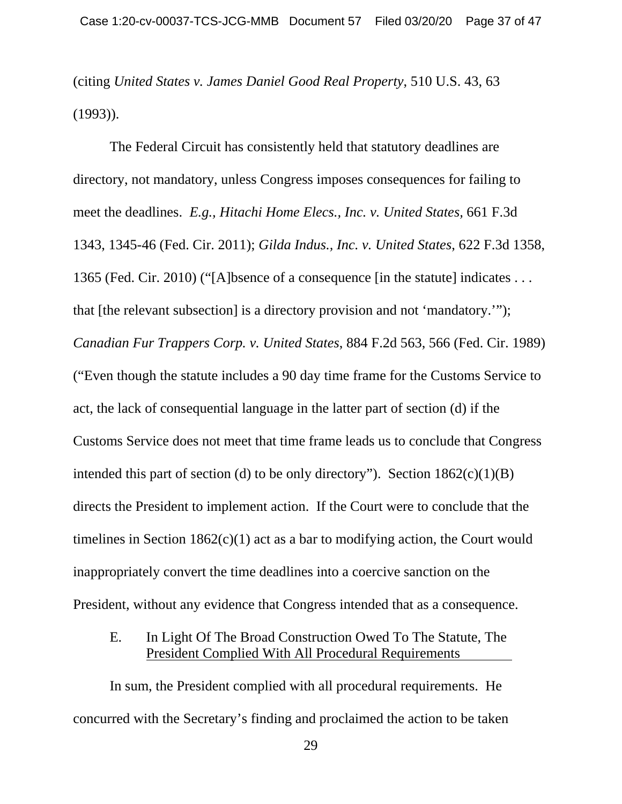(citing *United States v. James Daniel Good Real Property*, 510 U.S. 43, 63 (1993)).

The Federal Circuit has consistently held that statutory deadlines are directory, not mandatory, unless Congress imposes consequences for failing to meet the deadlines. *E.g., Hitachi Home Elecs., Inc. v. United States,* 661 F.3d 1343, 1345-46 (Fed. Cir. 2011); *Gilda Indus., Inc. v. United States*, 622 F.3d 1358, 1365 (Fed. Cir. 2010) ("[A]bsence of a consequence [in the statute] indicates . . . that [the relevant subsection] is a directory provision and not 'mandatory.'"); *Canadian Fur Trappers Corp. v. United States*, 884 F.2d 563, 566 (Fed. Cir. 1989) ("Even though the statute includes a 90 day time frame for the Customs Service to act, the lack of consequential language in the latter part of section (d) if the Customs Service does not meet that time frame leads us to conclude that Congress intended this part of section (d) to be only directory"). Section  $1862(c)(1)(B)$ directs the President to implement action. If the Court were to conclude that the timelines in Section  $1862(c)(1)$  act as a bar to modifying action, the Court would inappropriately convert the time deadlines into a coercive sanction on the President, without any evidence that Congress intended that as a consequence.

#### E. In Light Of The Broad Construction Owed To The Statute, The President Complied With All Procedural Requirements

In sum, the President complied with all procedural requirements. He concurred with the Secretary's finding and proclaimed the action to be taken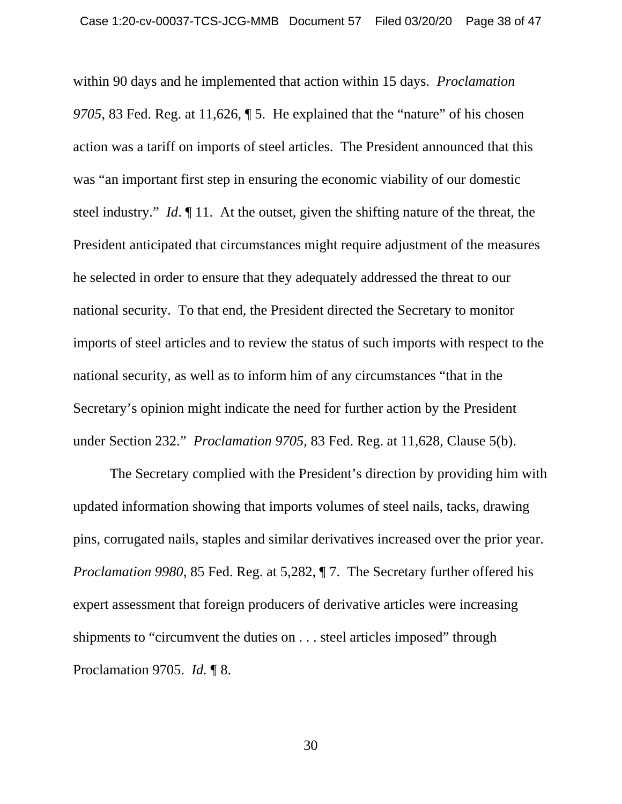within 90 days and he implemented that action within 15 days. *Proclamation 9705*, 83 Fed. Reg. at 11,626, ¶ 5. He explained that the "nature" of his chosen action was a tariff on imports of steel articles. The President announced that this was "an important first step in ensuring the economic viability of our domestic steel industry." *Id*. ¶ 11. At the outset, given the shifting nature of the threat, the President anticipated that circumstances might require adjustment of the measures he selected in order to ensure that they adequately addressed the threat to our national security. To that end, the President directed the Secretary to monitor imports of steel articles and to review the status of such imports with respect to the national security, as well as to inform him of any circumstances "that in the Secretary's opinion might indicate the need for further action by the President under Section 232." *Proclamation 9705*, 83 Fed. Reg. at 11,628, Clause 5(b).

The Secretary complied with the President's direction by providing him with updated information showing that imports volumes of steel nails, tacks, drawing pins, corrugated nails, staples and similar derivatives increased over the prior year. *Proclamation 9980*, 85 Fed. Reg. at 5,282, ¶ 7. The Secretary further offered his expert assessment that foreign producers of derivative articles were increasing shipments to "circumvent the duties on . . . steel articles imposed" through Proclamation 9705. *Id.* ¶ 8.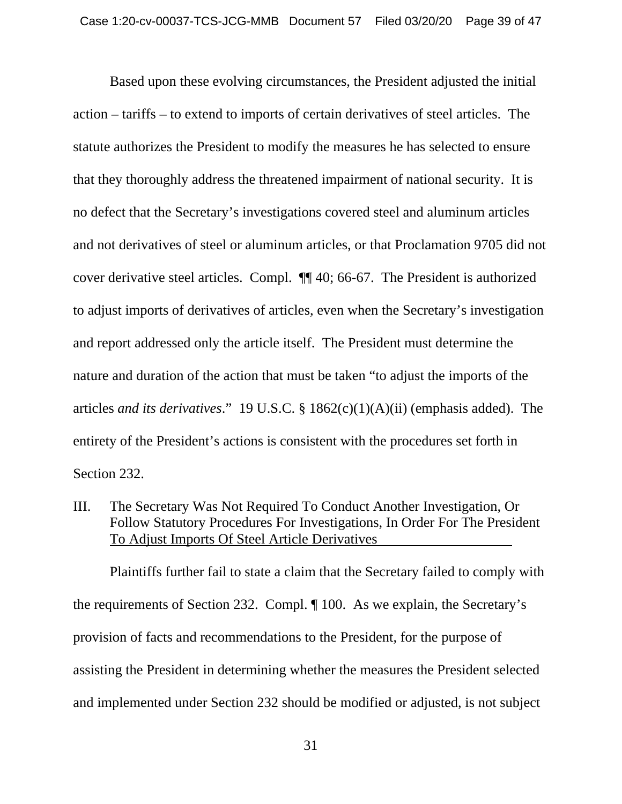Based upon these evolving circumstances, the President adjusted the initial action – tariffs – to extend to imports of certain derivatives of steel articles. The statute authorizes the President to modify the measures he has selected to ensure that they thoroughly address the threatened impairment of national security. It is no defect that the Secretary's investigations covered steel and aluminum articles and not derivatives of steel or aluminum articles, or that Proclamation 9705 did not cover derivative steel articles. Compl. ¶¶ 40; 66-67. The President is authorized to adjust imports of derivatives of articles, even when the Secretary's investigation and report addressed only the article itself. The President must determine the nature and duration of the action that must be taken "to adjust the imports of the articles *and its derivatives*." 19 U.S.C. § 1862(c)(1)(A)(ii) (emphasis added). The entirety of the President's actions is consistent with the procedures set forth in Section 232.

III. The Secretary Was Not Required To Conduct Another Investigation, Or Follow Statutory Procedures For Investigations, In Order For The President To Adjust Imports Of Steel Article Derivatives

Plaintiffs further fail to state a claim that the Secretary failed to comply with the requirements of Section 232. Compl. ¶ 100. As we explain, the Secretary's provision of facts and recommendations to the President, for the purpose of assisting the President in determining whether the measures the President selected and implemented under Section 232 should be modified or adjusted, is not subject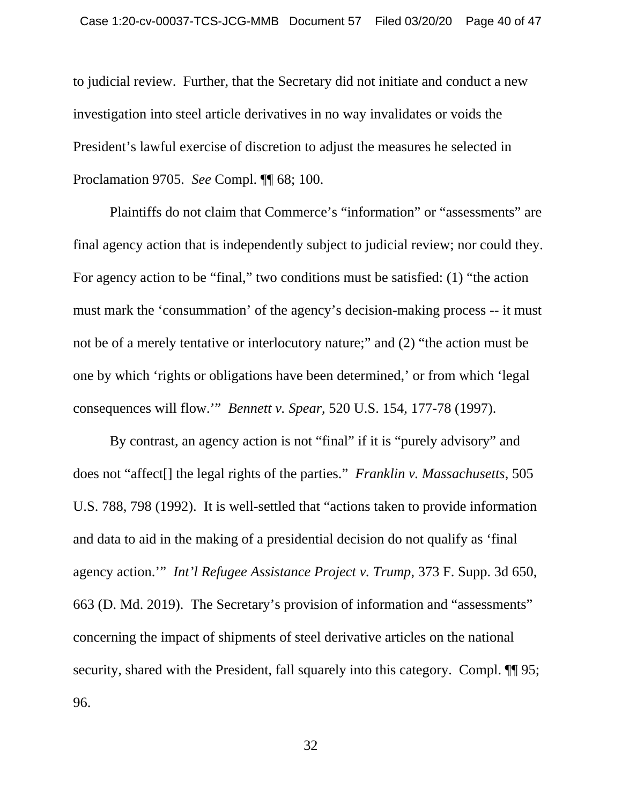to judicial review. Further, that the Secretary did not initiate and conduct a new investigation into steel article derivatives in no way invalidates or voids the President's lawful exercise of discretion to adjust the measures he selected in Proclamation 9705. *See* Compl. ¶¶ 68; 100.

Plaintiffs do not claim that Commerce's "information" or "assessments" are final agency action that is independently subject to judicial review; nor could they. For agency action to be "final," two conditions must be satisfied: (1) "the action must mark the 'consummation' of the agency's decision-making process -- it must not be of a merely tentative or interlocutory nature;" and (2) "the action must be one by which 'rights or obligations have been determined,' or from which 'legal consequences will flow.'" *Bennett v. Spear*, 520 U.S. 154, 177-78 (1997).

By contrast, an agency action is not "final" if it is "purely advisory" and does not "affect[] the legal rights of the parties." *Franklin v. Massachusetts*, 505 U.S. 788, 798 (1992). It is well-settled that "actions taken to provide information and data to aid in the making of a presidential decision do not qualify as 'final agency action.'" *Int'l Refugee Assistance Project v. Trump*, 373 F. Supp. 3d 650, 663 (D. Md. 2019). The Secretary's provision of information and "assessments" concerning the impact of shipments of steel derivative articles on the national security, shared with the President, fall squarely into this category. Compl.  $\P\P$  95; 96.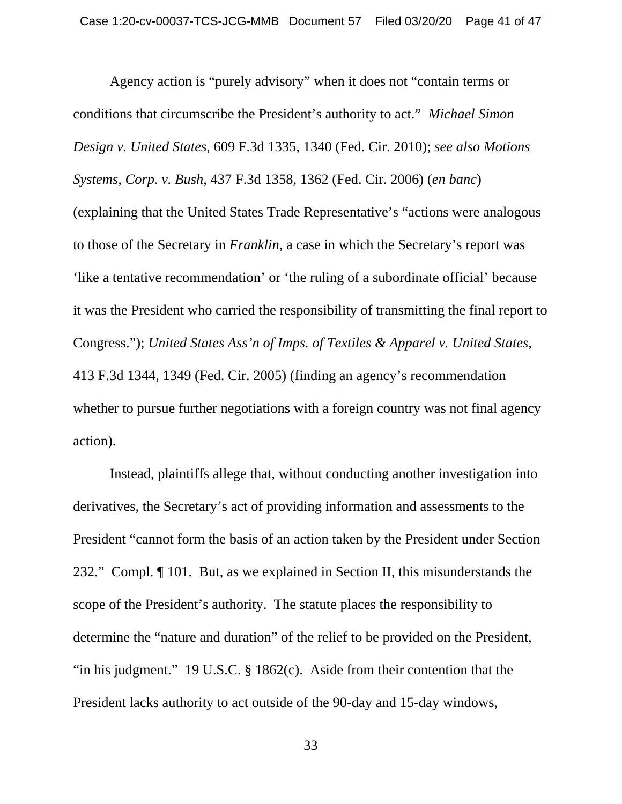Agency action is "purely advisory" when it does not "contain terms or conditions that circumscribe the President's authority to act." *Michael Simon Design v. United States*, 609 F.3d 1335, 1340 (Fed. Cir. 2010); *see also Motions Systems, Corp. v. Bush*, 437 F.3d 1358, 1362 (Fed. Cir. 2006) (*en banc*) (explaining that the United States Trade Representative's "actions were analogous to those of the Secretary in *Franklin*, a case in which the Secretary's report was 'like a tentative recommendation' or 'the ruling of a subordinate official' because it was the President who carried the responsibility of transmitting the final report to Congress."); *United States Ass'n of Imps. of Textiles & Apparel v. United States*, 413 F.3d 1344, 1349 (Fed. Cir. 2005) (finding an agency's recommendation whether to pursue further negotiations with a foreign country was not final agency action).

Instead, plaintiffs allege that, without conducting another investigation into derivatives, the Secretary's act of providing information and assessments to the President "cannot form the basis of an action taken by the President under Section 232." Compl. ¶ 101. But, as we explained in Section II, this misunderstands the scope of the President's authority. The statute places the responsibility to determine the "nature and duration" of the relief to be provided on the President, "in his judgment." 19 U.S.C. § 1862(c). Aside from their contention that the President lacks authority to act outside of the 90-day and 15-day windows,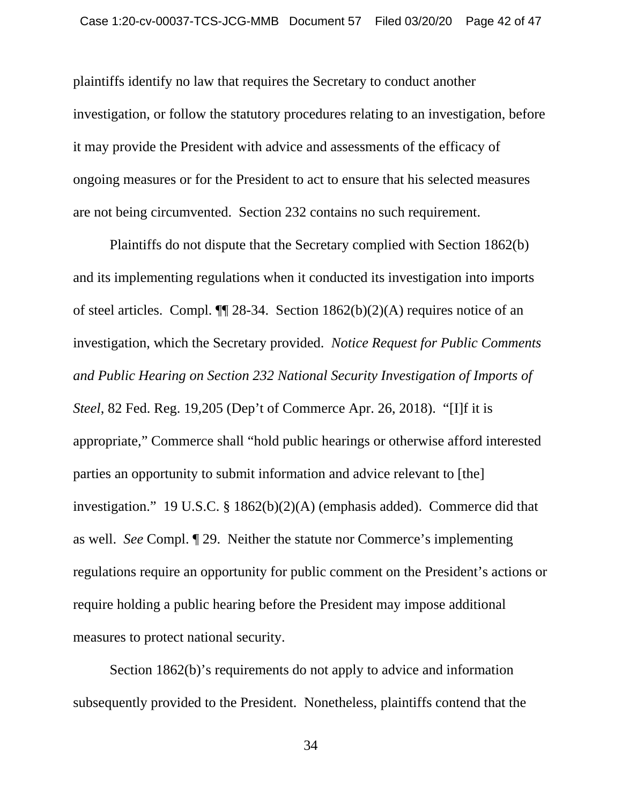plaintiffs identify no law that requires the Secretary to conduct another investigation, or follow the statutory procedures relating to an investigation, before it may provide the President with advice and assessments of the efficacy of ongoing measures or for the President to act to ensure that his selected measures are not being circumvented. Section 232 contains no such requirement.

Plaintiffs do not dispute that the Secretary complied with Section 1862(b) and its implementing regulations when it conducted its investigation into imports of steel articles. Compl.  $\P$  28-34. Section 1862(b)(2)(A) requires notice of an investigation, which the Secretary provided. *Notice Request for Public Comments and Public Hearing on Section 232 National Security Investigation of Imports of Steel*, 82 Fed. Reg. 19,205 (Dep't of Commerce Apr. 26, 2018). "[I]f it is appropriate," Commerce shall "hold public hearings or otherwise afford interested parties an opportunity to submit information and advice relevant to [the] investigation." 19 U.S.C. § 1862(b)(2)(A) (emphasis added). Commerce did that as well. *See* Compl. ¶ 29. Neither the statute nor Commerce's implementing regulations require an opportunity for public comment on the President's actions or require holding a public hearing before the President may impose additional measures to protect national security.

Section 1862(b)'s requirements do not apply to advice and information subsequently provided to the President. Nonetheless, plaintiffs contend that the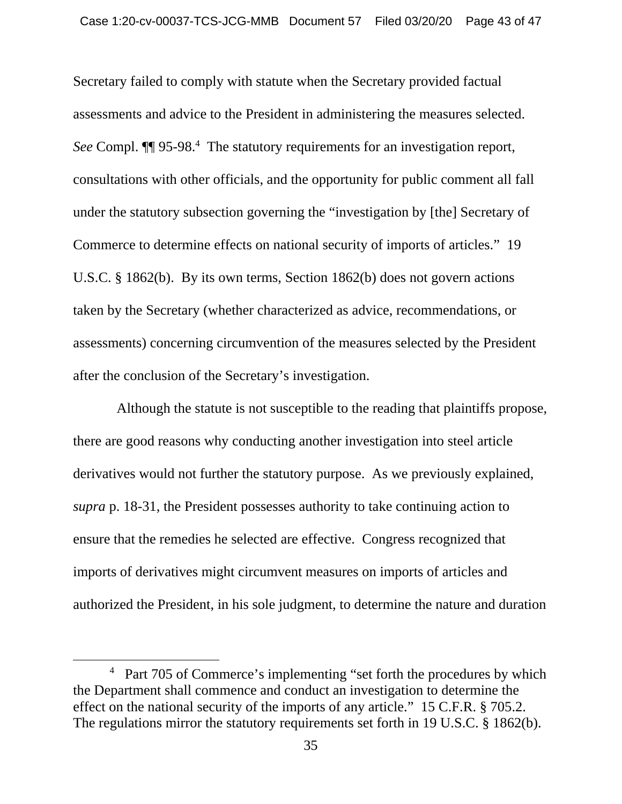Secretary failed to comply with statute when the Secretary provided factual assessments and advice to the President in administering the measures selected. See Compl. **[14** 95-98.<sup>4</sup> The statutory requirements for an investigation report, consultations with other officials, and the opportunity for public comment all fall under the statutory subsection governing the "investigation by [the] Secretary of Commerce to determine effects on national security of imports of articles." 19 U.S.C. § 1862(b). By its own terms, Section 1862(b) does not govern actions taken by the Secretary (whether characterized as advice, recommendations, or assessments) concerning circumvention of the measures selected by the President after the conclusion of the Secretary's investigation.

 Although the statute is not susceptible to the reading that plaintiffs propose, there are good reasons why conducting another investigation into steel article derivatives would not further the statutory purpose. As we previously explained, *supra* p. 18-31, the President possesses authority to take continuing action to ensure that the remedies he selected are effective. Congress recognized that imports of derivatives might circumvent measures on imports of articles and authorized the President, in his sole judgment, to determine the nature and duration

 $\overline{4}$ <sup>4</sup> Part 705 of Commerce's implementing "set forth the procedures by which the Department shall commence and conduct an investigation to determine the effect on the national security of the imports of any article." 15 C.F.R. § 705.2. The regulations mirror the statutory requirements set forth in 19 U.S.C. § 1862(b).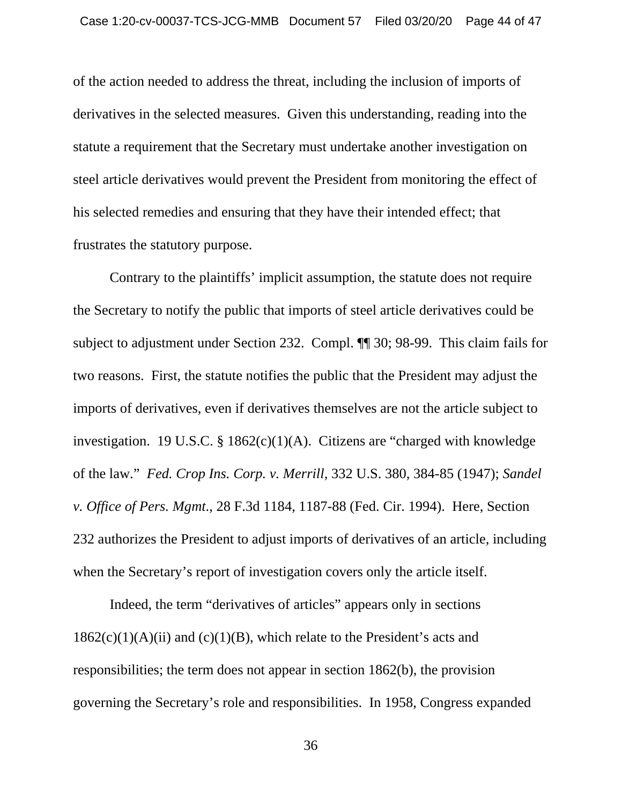of the action needed to address the threat, including the inclusion of imports of derivatives in the selected measures. Given this understanding, reading into the statute a requirement that the Secretary must undertake another investigation on steel article derivatives would prevent the President from monitoring the effect of his selected remedies and ensuring that they have their intended effect; that frustrates the statutory purpose.

Contrary to the plaintiffs' implicit assumption, the statute does not require the Secretary to notify the public that imports of steel article derivatives could be subject to adjustment under Section 232. Compl. ¶¶ 30; 98-99. This claim fails for two reasons. First, the statute notifies the public that the President may adjust the imports of derivatives, even if derivatives themselves are not the article subject to investigation. 19 U.S.C. § 1862(c)(1)(A). Citizens are "charged with knowledge of the law." *Fed. Crop Ins. Corp. v. Merrill*, 332 U.S. 380, 384-85 (1947); *Sandel v. Office of Pers. Mgmt*., 28 F.3d 1184, 1187-88 (Fed. Cir. 1994). Here, Section 232 authorizes the President to adjust imports of derivatives of an article, including when the Secretary's report of investigation covers only the article itself.

Indeed, the term "derivatives of articles" appears only in sections  $1862(c)(1)(A)(ii)$  and  $(c)(1)(B)$ , which relate to the President's acts and responsibilities; the term does not appear in section 1862(b), the provision governing the Secretary's role and responsibilities. In 1958, Congress expanded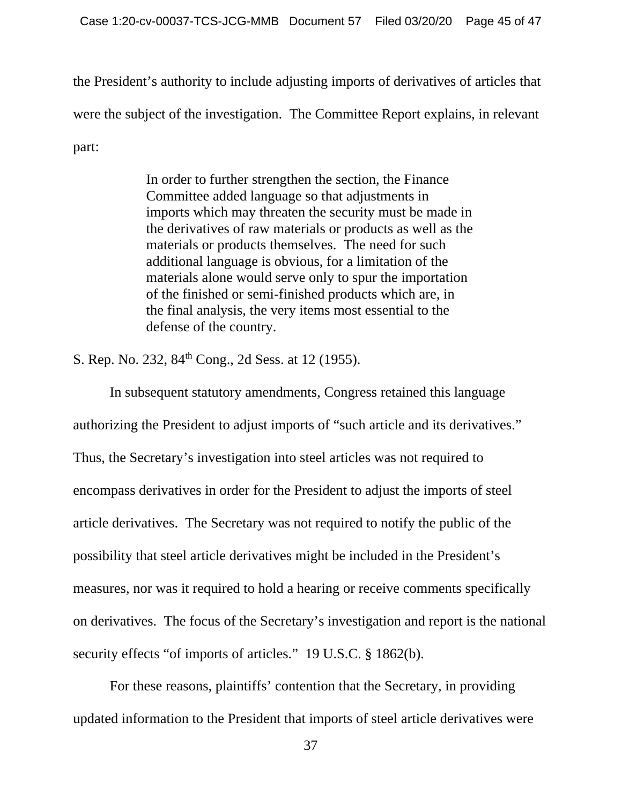the President's authority to include adjusting imports of derivatives of articles that were the subject of the investigation. The Committee Report explains, in relevant part:

> In order to further strengthen the section, the Finance Committee added language so that adjustments in imports which may threaten the security must be made in the derivatives of raw materials or products as well as the materials or products themselves. The need for such additional language is obvious, for a limitation of the materials alone would serve only to spur the importation of the finished or semi-finished products which are, in the final analysis, the very items most essential to the defense of the country.

S. Rep. No. 232, 84<sup>th</sup> Cong., 2d Sess. at 12 (1955).

In subsequent statutory amendments, Congress retained this language authorizing the President to adjust imports of "such article and its derivatives." Thus, the Secretary's investigation into steel articles was not required to encompass derivatives in order for the President to adjust the imports of steel article derivatives. The Secretary was not required to notify the public of the possibility that steel article derivatives might be included in the President's measures, nor was it required to hold a hearing or receive comments specifically on derivatives. The focus of the Secretary's investigation and report is the national security effects "of imports of articles." 19 U.S.C. § 1862(b).

For these reasons, plaintiffs' contention that the Secretary, in providing updated information to the President that imports of steel article derivatives were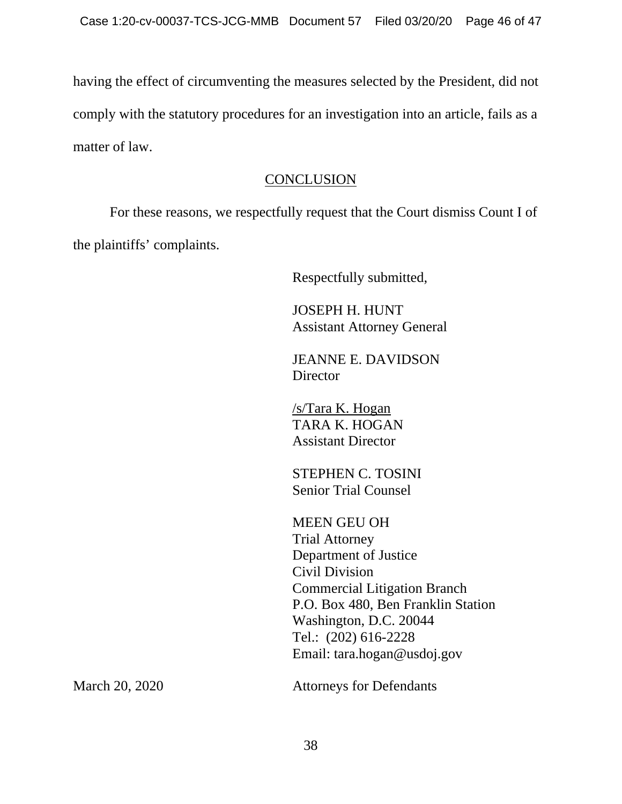having the effect of circumventing the measures selected by the President, did not comply with the statutory procedures for an investigation into an article, fails as a matter of law.

## **CONCLUSION**

 For these reasons, we respectfully request that the Court dismiss Count I of the plaintiffs' complaints.

Respectfully submitted,

 JOSEPH H. HUNT Assistant Attorney General

 JEANNE E. DAVIDSON **Director** 

 /s/Tara K. Hogan TARA K. HOGAN Assistant Director

 STEPHEN C. TOSINI Senior Trial Counsel

 MEEN GEU OH Trial Attorney Department of Justice Civil Division Commercial Litigation Branch P.O. Box 480, Ben Franklin Station Washington, D.C. 20044 Tel.: (202) 616-2228 Email: tara.hogan@usdoj.gov

March 20, 2020 Attorneys for Defendants